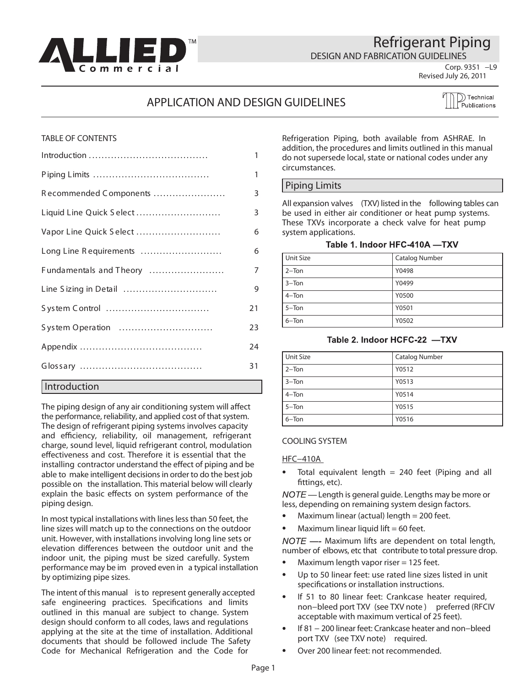<span id="page-0-0"></span>

## Refrigerant Piping

DESIGN AND FABRICATION GUIDELINES

**Corp. 9351 −L9**

## **Revised July 26, 2011**

## APPLICATION AND DESIGN GUIDELINES

 $\bigcirc$  Technical Publications

## TABLE OF CONTENTS

|                          | 1            |
|--------------------------|--------------|
|                          | $\mathbf{1}$ |
| Recommended Components   | 3            |
| Liquid Line Quick Select | 3            |
| Vapor Line Quick Select  | 6            |
| Long Line Requirements   | 6            |
| Fundamentals and Theory  | 7            |
| Line Sizing in Detail    | 9            |
|                          | 21           |
| System Operation         | 23           |
|                          | 24           |
|                          | 31           |
| Introduction             |              |

The piping design of any air conditioning system will affect the performance, reliability, and applied cost of that system. The design of refrigerant piping systems involves capacity and efficiency, reliability, oil management, refrigerant charge, sound level, liquid refrigerant control, modulation effectiveness and cost. Therefore it is essential that the installing contractor understand the effect of piping and be able to make intelligent decisions in order to do the best job possible on the installation. This material below will clearly explain the basic effects on system performance of the piping design.

In most typical installations with lines less than 50 feet, the line sizes will match up to the connections on the outdoor unit. However, with installations involving long line sets or elevation differences between the outdoor unit and the indoor unit, the piping must be sized carefully. System performance may be im proved even in a typical installation by optimizing pipe sizes.

The intent of this manual is to represent generally accepted safe engineering practices. Specifications and limits outlined in this manual are subject to change. System design should conform to all codes, laws and regulations applying at the site at the time of installation. Additional documents that should be followed include The Safety Code for Mechanical Refrigeration and the Code for

Refrigeration Piping, both available from ASHRAE. In addition, the procedures and limits outlined in this manual do not supersede local, state or national codes under any circumstances.

## Piping Limits

All expansion valves (TXV) listed in the following tables can be used in either air conditioner or heat pump systems. These TXVs incorporate a check valve for heat pump system applications.

#### Table 1. Indoor HFC-410A -TXV

| Unit Size | <b>Catalog Number</b> |
|-----------|-----------------------|
| $2 -$ Ton | Y0498                 |
| $3 -$ Ton | Y0499                 |
| $4 -$ Ton | Y0500                 |
| $5 -$ Ton | Y0501                 |
| $6 -$ Ton | Y0502                 |

#### Table 2. Indoor HCFC-22 -TXV

| <b>Unit Size</b> | <b>Catalog Number</b> |
|------------------|-----------------------|
| $2-Ton$          | Y0512                 |
| $3 - Ton$        | Y0513                 |
| $4 -$ Ton        | Y0514                 |
| $5 -$ Ton        | Y0515                 |
| $6 -$ Ton        | Y0516                 |

#### COOLING SYSTEM

#### HFC−410A

Total equivalent length  $= 240$  feet (Piping and all fittings, etc).

 $NOTE$  — Length is general guide. Lengths may be more or less, depending on remaining system design factors.

- Maximum linear (actual) length = 200 feet.
- Maximum linear liquid lift  $= 60$  feet.  $\bullet$

 $NOTE$  —- Maximum lifts are dependent on total length, number of elbows, etc that contribute to total pressure drop.

- Maximum length vapor riser = 125 feet.
- Up to 50 linear feet: use rated line sizes listed in unit specifications or installation instructions.
- If 51 to 80 linear feet: Crankcase heater required, non−bleed port TXV (see TXV note) preferred (RFCIV acceptable with maximum vertical of 25 feet).
- If 81 − 200 linear feet: Crankcase heater and non−bleed port TXV (see TXV note) required.
- Over 200 linear feet: not recommended.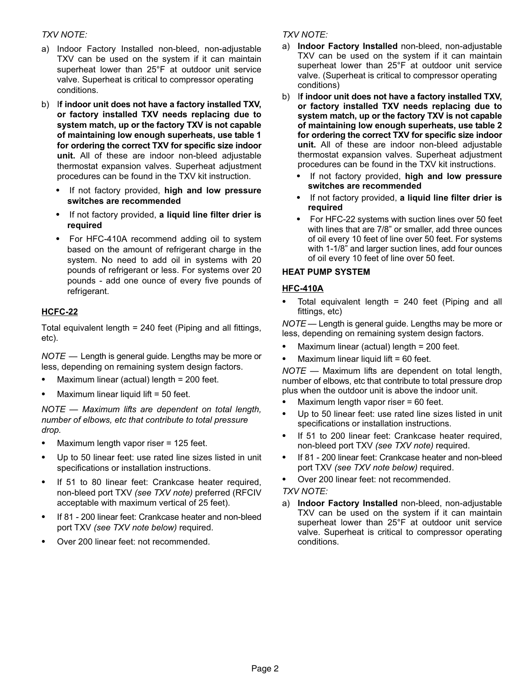## TXV NOTE:

- a) Indoor Factory Installed non−bleed, non−adjustable TXV can be used on the system if it can maintain superheat lower than 25°F at outdoor unit service valve. Superheat is critical to compressor operating conditions.
- b) If indoor unit does not have a factory installed TXV, or factory installed TXV needs replacing due to system match, up or the factory TXV is not capable of maintaining low enough superheats, use table [1](#page-0-0) for ordering the correct TXV for specific size indoor unit. All of these are indoor non−bleed adjustable thermostat expansion valves. Superheat adjustment procedures can be found in the TXV kit instruction.
	- - If not factory provided, high and low pressure switches are recommended
	- If not factory provided, a liquid line filter drier is required
	- - For HFC−410A recommend adding oil to system based on the amount of refrigerant charge in the system. No need to add oil in systems with 20 pounds of refrigerant or less. For systems over 20 pounds − add one ounce of every five pounds of refrigerant.

## HCFC−22

Total equivalent length = 240 feet (Piping and all fittings, etc).

 $\mathsf{NOTE} \models \mathsf{Length}$  is general guide. Lengths may be more or less, depending on remaining system design factors.

- -Maximum linear (actual) length = 200 feet.
- -Maximum linear liquid lift = 50 feet.

NOTE — Maximum lifts are dependent on total length, number of elbows, etc that contribute to total pressure drop.

- ์<br>-Maximum length vapor riser = 125 feet.
- - Up to 50 linear feet: use rated line sizes listed in unit specifications or installation instructions.
- - If 51 to 80 linear feet: Crankcase heater required, non−bleed port TXV (see TXV note) preferred (RFCIV acceptable with maximum vertical of 25 feet).
- - If 81 − 200 linear feet: Crankcase heater and non−bleed port TXV (see TXV note below) required.
- -Over 200 linear feet: not recommended.

## TXV NOTE:

- a) Indoor Factory Installed non−bleed, non−adjustable TXV can be used on the system if it can maintain superheat lower than 25°F at outdoor unit service valve. (Superheat is critical to compressor operating conditions)
- b) If indoor unit does not have a factory installed TXV, or factory installed TXV needs replacing due to system match, up or the factory TXV is not capable of maintaining low enough superheats, use table [2](#page-0-0) for ordering the correct TXV for specific size indoor unit. All of these are indoor non−bleed adjustable thermostat expansion valves. Superheat adjustment procedures can be found in the TXV kit instructions.<br>And for fectory provided, high and low procesure
	- If not factory provided, high and low pressure switches are recommended
	- -If not factory provided, a liquid line filter drier is required
	- $\bullet$  For HFC−22 systems with suction lines over 50 feet with lines that are 7/8" or smaller, add three ounces of oil every 10 feet of line over 50 feet. For systems with 1−1/8" and larger suction lines, add four ounces of oil every 10 feet of line over 50 feet.

## HEAT PUMP SYSTEM

#### HFC−410A

- Total equivalent length = 240 feet (Piping and all fittings, etc)

 $\mathsf{NOTE}$  — Length is general guide. Lengths may be more or less, depending on remaining system design factors.

- $\bullet$ Maximum linear (actual) length = 200 feet.
- $\bullet$ Maximum linear liquid lift = 60 feet.

 $NOTE$  — Maximum lifts are dependent on total length, number of elbows, etc that contribute to total pressure drop plus when the outdoor unit is above the indoor unit.<br>A. Lillavimum langth vance rises = 60 feet.

- Maximum length vapor riser = 60 feet.
- $\bullet$  Up to 50 linear feet: use rated line sizes listed in unit specifications or installation instructions.
- - If 51 to 200 linear feet: Crankcase heater required, non−bleed port TXV (see TXV note) required.
- - If 81 − 200 linear feet: Crankcase heater and non−bleed port TXV (see TXV note below) required.
- -Over 200 linear feet: not recommended.

#### TXV NOTE:

a) Indoor Factory Installed non−bleed, non−adjustable TXV can be used on the system if it can maintain superheat lower than 25°F at outdoor unit service valve. Superheat is critical to compressor operating conditions.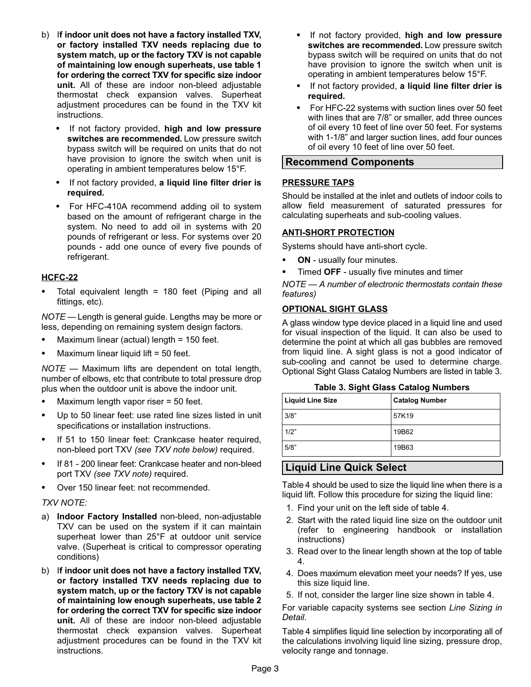- <span id="page-2-0"></span>b) If indoor unit does not have a factory installed TXV, or factory installed TXV needs replacing due to system match, up or the factory TXV is not capable of maintaining low enough superheats, use table [1](#page-0-0) for ordering the correct TXV for specific size indoor unit. All of these are indoor non−bleed adjustable thermostat check expansion valves. Superheat adjustment procedures can be found in the TXV kit instructions.
	- - If not factory provided, high and low pressure switches are recommended. Low pressure switch bypass switch will be required on units that do not have provision to ignore the switch when unit is operating in ambient temperatures below 15°F.
	- $\bullet$ If not factory provided, a liquid line filter drier is required.
	- For HFC−410A recommend adding oil to system based on the amount of refrigerant charge in the system. No need to add oil in systems with 20 pounds of refrigerant or less. For systems over 20 pounds − add one ounce of every five pounds of refrigerant.

## HCFC−22

- Total equivalent length = 180 feet (Piping and all fittings, etc).

 $\mathsf{NOTE}$  — Length is general guide. Lengths may be more or less, depending on remaining system design factors. -

- Maximum linear (actual) length = 150 feet.
- -Maximum linear liquid lift = 50 feet.

NOTE — Maximum lifts are dependent on total length, number of elbows, etc that contribute to total pressure drop plus when the outdoor unit is above the indoor unit.

- -Maximum length vapor riser = 50 feet.
- $\bullet$  Up to 50 linear feet: use rated line sizes listed in unit specifications or installation instructions.
- - If 51 to 150 linear feet: Crankcase heater required, non−bleed port TXV (see TXV note below) required.
- - If 81 − 200 linear feet: Crankcase heater and non−bleed port TXV (see TXV note) required.
- -Over 150 linear feet: not recommended.

## TXV NOTE:

- a) Indoor Factory Installed non−bleed, non−adjustable TXV can be used on the system if it can maintain superheat lower than 25°F at outdoor unit service valve. (Superheat is critical to compressor operating conditions)
- b) If indoor unit does not have a factory installed TXV, or factory installed TXV needs replacing due to system match, up or the factory TXV is not capable of maintaining low enough superheats, use table [2](#page-0-0) for ordering the correct TXV for specific size indoor unit. All of these are indoor non−bleed adjustable thermostat check expansion valves. Superheat adjustment procedures can be found in the TXV kit instructions.
- -If not factory provided, high and low pressure switches are recommended. Low pressure switch bypass switch will be required on units that do not have provision to ignore the switch when unit is operating in ambient temperatures below 15°F.
- If not factory provided, a liquid line filter drier is required.
- - For HFC−22 systems with suction lines over 50 feet with lines that are 7/8" or smaller, add three ounces of oil every 10 feet of line over 50 feet. For systems with 1−1/8" and larger suction lines, add four ounces of oil every 10 feet of line over 50 feet.

## Recommend Components

#### PRESSURE TAPS

Should be installed at the inlet and outlets of indoor coils to allow field measurement of saturated pressures for calculating superheats and sub−cooling values.

## ANTI−SHORT PROTECTION

Systems should have anti−short cycle.

- -ON - usually four minutes.
- $\bullet$ Timed OFF − usually five minutes and timer

NOTE - A number of electronic thermostats contain these features)

#### OPTIONAL SIGHT GLASS

A glass window type device placed in a liquid line and used for visual inspection of the liquid. It can also be used to determine the point at which all gas bubbles are removed from liquid line. A sight glass is not a good indicator of sub−cooling and cannot be used to determine charge. Optional Sight Glass Catalog Numbers are listed in table 3.

| $14000$ of organ order outlined mainbord |                       |  |  |  |  |  |  |  |
|------------------------------------------|-----------------------|--|--|--|--|--|--|--|
| <b>Liquid Line Size</b>                  | <b>Catalog Number</b> |  |  |  |  |  |  |  |
| 3/8"                                     | 57K19                 |  |  |  |  |  |  |  |
| 1/2"                                     | 19B62                 |  |  |  |  |  |  |  |
| 5/8"                                     | 19B63                 |  |  |  |  |  |  |  |

Table 3. Sight Glass Catalog Numbers

## Liquid Line Quick Select

Table [4](#page-3-0) should be used to size the liquid line when there is a liquid lift. Follow this procedure for sizing the liquid line:

- 1. Find your unit on the left side of table [4](#page-3-0).
- 2. Start with the rated liquid line size on the outdoor unit (refer to engineering handbook or installation instructions)
- 3. Read over to the linear length shown at the top of table [4](#page-3-0).
- 4. Does maximum elevation meet your needs? If yes, use this size liquid line.
- 5. If not, consider the larger line size shown in table [4.](#page-3-0)

For variable capacity systems see section Line Sizing in Detail.

Table [4](#page-3-0) simplifies liquid line selection by incorporating all of the calculations involving liquid line sizing, pressure drop, velocity range and tonnage.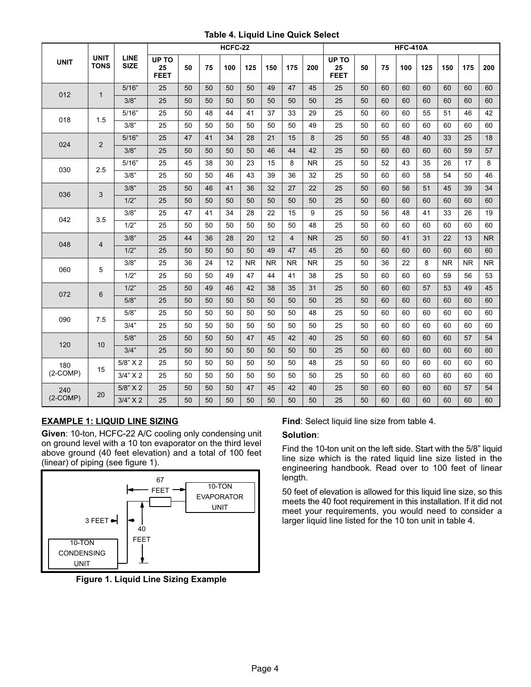#### Table 4. Liquid Line Quick Select

<span id="page-3-0"></span>

|             |                            |                            |                            |    | HCFC-22 |     |           |           |                |           |                            |    | <b>HFC-410A</b> |     |     |           |           |           |
|-------------|----------------------------|----------------------------|----------------------------|----|---------|-----|-----------|-----------|----------------|-----------|----------------------------|----|-----------------|-----|-----|-----------|-----------|-----------|
| <b>UNIT</b> | <b>UNIT</b><br><b>TONS</b> | <b>LINE</b><br><b>SIZE</b> | UP TO<br>25<br><b>FEET</b> | 50 | 75      | 100 | 125       | 150       | 175            | 200       | UP TO<br>25<br><b>FEET</b> | 50 | 75              | 100 | 125 | 150       | 175       | 200       |
| 012         | $\mathbf{1}$               | 5/16"                      | 25                         | 50 | 50      | 50  | 50        | 49        | 47             | 45        | 25                         | 50 | 60              | 60  | 60  | 60        | 60        | 60        |
|             |                            | 3/8"                       | 25                         | 50 | 50      | 50  | 50        | 50        | 50             | 50        | 25                         | 50 | 60              | 60  | 60  | 60        | 60        | 60        |
| 018         | 1.5                        | 5/16"                      | 25                         | 50 | 48      | 44  | 41        | 37        | 33             | 29        | 25                         | 50 | 60              | 60  | 55  | 51        | 46        | 42        |
|             |                            | 3/8"                       | 25                         | 50 | 50      | 50  | 50        | 50        | 50             | 49        | 25                         | 50 | 60              | 60  | 60  | 60        | 60        | 60        |
| 024         | $\overline{2}$             | 5/16"                      | 25                         | 47 | 41      | 34  | 28        | 21        | 15             | 8         | 25                         | 50 | 55              | 48  | 40  | 33        | 25        | 18        |
|             |                            | 3/8"                       | 25                         | 50 | 50      | 50  | 50        | 46        | 44             | 42        | 25                         | 50 | 60              | 60  | 60  | 60        | 59        | 57        |
| 030         | 2.5                        | 5/16"                      | 25                         | 45 | 38      | 30  | 23        | 15        | 8              | <b>NR</b> | 25                         | 50 | 52              | 43  | 35  | 26        | 17        | 8         |
|             |                            | 3/8"                       | 25                         | 50 | 50      | 46  | 43        | 39        | 36             | 32        | 25                         | 50 | 60              | 60  | 58  | 54        | 50        | 46        |
| 036         | 3                          | 3/8"                       | 25                         | 50 | 46      | 41  | 36        | 32        | 27             | 22        | 25                         | 50 | 60              | 56  | 51  | 45        | 39        | 34        |
|             |                            | 1/2"                       | 25                         | 50 | 50      | 50  | 50        | 50        | 50             | 50        | 25                         | 50 | 60              | 60  | 60  | 60        | 60        | 60        |
| 042         | 3.5                        | 3/8"                       | 25                         | 47 | 41      | 34  | 28        | 22        | 15             | 9         | 25                         | 50 | 56              | 48  | 41  | 33        | 26        | 19        |
|             |                            | 1/2"                       | 25                         | 50 | 50      | 50  | 50        | 50        | 50             | 48        | 25                         | 50 | 60              | 60  | 60  | 60        | 60        | 60        |
| 048         | 4                          | 3/8"                       | 25                         | 44 | 36      | 28  | 20        | 12        | $\overline{4}$ | <b>NR</b> | 25                         | 50 | 50              | 41  | 31  | 22        | 13        | <b>NR</b> |
|             |                            | 1/2"                       | 25                         | 50 | 50      | 50  | 50        | 49        | 47             | 45        | 25                         | 50 | 60              | 60  | 60  | 60        | 60        | 60        |
| 060         | 5                          | 3/8"                       | 25                         | 36 | 24      | 12  | <b>NR</b> | <b>NR</b> | <b>NR</b>      | <b>NR</b> | 25                         | 50 | 36              | 22  | 8   | <b>NR</b> | <b>NR</b> | <b>NR</b> |
|             |                            | 1/2"                       | 25                         | 50 | 50      | 49  | 47        | 44        | 41             | 38        | 25                         | 50 | 60              | 60  | 60  | 59        | 56        | 53        |
| 072         | 6                          | 1/2"                       | 25                         | 50 | 49      | 46  | 42        | 38        | 35             | 31        | 25                         | 50 | 60              | 60  | 57  | 53        | 49        | 45        |
|             |                            | 5/8"                       | 25                         | 50 | 50      | 50  | 50        | 50        | 50             | 50        | 25                         | 50 | 60              | 60  | 60  | 60        | 60        | 60        |
| 090         | 7.5                        | 5/8"                       | 25                         | 50 | 50      | 50  | 50        | 50        | 50             | 48        | 25                         | 50 | 60              | 60  | 60  | 60        | 60        | 60        |
|             |                            | 3/4"                       | 25                         | 50 | 50      | 50  | 50        | 50        | 50             | 50        | 25                         | 50 | 60              | 60  | 60  | 60        | 60        | 60        |
| 120         | 10                         | 5/8"                       | 25                         | 50 | 50      | 50  | 47        | 45        | 42             | 40        | 25                         | 50 | 60              | 60  | 60  | 60        | 57        | 54        |
|             |                            | 3/4"                       | 25                         | 50 | 50      | 50  | 50        | 50        | 50             | 50        | 25                         | 50 | 60              | 60  | 60  | 60        | 60        | 60        |
| 180         | 15                         | 5/8" X 2                   | 25                         | 50 | 50      | 50  | 50        | 50        | 50             | 48        | 25                         | 50 | 60              | 60  | 60  | 60        | 60        | 60        |
| $(2-COMP)$  |                            | 3/4" X 2                   | 25                         | 50 | 50      | 50  | 50        | 50        | 50             | 50        | 25                         | 50 | 60              | 60  | 60  | 60        | 60        | 60        |
| 240         | 20                         | 5/8" X 2                   | 25                         | 50 | 50      | 50  | 47        | 45        | 42             | 40        | 25                         | 50 | 60              | 60  | 60  | 60        | 57        | 54        |
| $(2-COMP)$  |                            | 3/4" X 2                   | 25                         | 50 | 50      | 50  | 50        | 50        | 50             | 50        | 25                         | 50 | 60              | 60  | 60  | 60        | 60        | 60        |

## EXAMPLE 1: LIQUID LINE SIZING

Given: 10−ton, HCFC−22 A/C cooling only condensing unit on ground level with a 10 ton evaporator on the third level above ground (40 feet elevation) and a total of 100 feet (linear) of piping (see figure 1).



Figure 1. Liquid Line Sizing Example

Find: Select liquid line size from table 4.

#### Solution:

Find the 10−ton unit on the left side. Start with the 5/8" liquid line size which is the rated liquid line size listed in the engineering handbook. Read over to 100 feet of linear length.

50 feet of elevation is allowed for this liquid line size, so this meets the 40 foot requirement in this installation. If it did not meet your requirements, you would need to consider a larger liquid line listed for the 10 ton unit in table 4.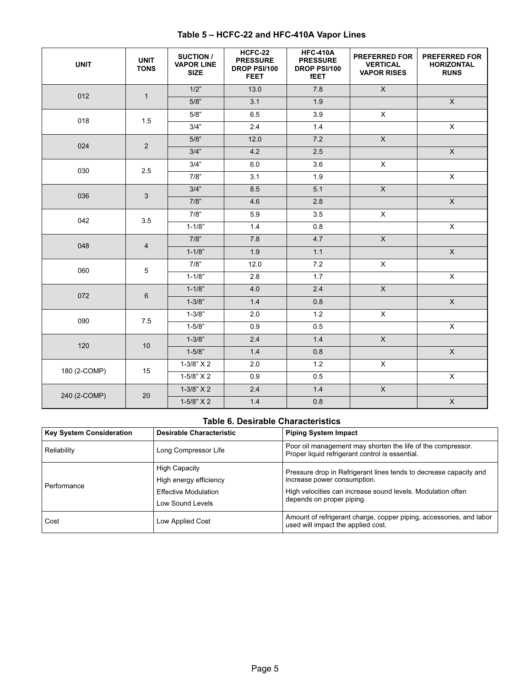<span id="page-4-0"></span>

| <b>UNIT</b>  | <b>UNIT</b><br><b>TONS</b> | SUCTION /<br><b>VAPOR LINE</b><br><b>SIZE</b> | HCFC-22<br><b>PRESSURE</b><br>DROP PSI/100<br><b>FEET</b> | <b>HFC-410A</b><br><b>PRESSURE</b><br>DROP PSI/100<br><b>fEET</b> | <b>PREFERRED FOR</b><br><b>VERTICAL</b><br><b>VAPOR RISES</b> | <b>PREFERRED FOR</b><br><b>HORIZONTAL</b><br><b>RUNS</b> |
|--------------|----------------------------|-----------------------------------------------|-----------------------------------------------------------|-------------------------------------------------------------------|---------------------------------------------------------------|----------------------------------------------------------|
| 012          | $\mathbf{1}$               | 1/2"                                          | 13.0                                                      | 7.8                                                               | $\overline{X}$                                                |                                                          |
|              |                            | 5/8"                                          | 3.1                                                       | 1.9                                                               |                                                               | $\mathsf{X}$                                             |
| 018          | 1.5                        | 5/8"                                          | 6.5                                                       | 3.9                                                               | X                                                             |                                                          |
|              |                            | 3/4"                                          | 2.4                                                       | 1.4                                                               |                                                               | $\overline{\mathsf{x}}$                                  |
| 024          | 2                          | 5/8"                                          | 12.0                                                      | 7.2                                                               | $\overline{X}$                                                |                                                          |
|              |                            | 3/4"                                          | 4.2                                                       | 2.5                                                               |                                                               | $\mathsf{X}$                                             |
| 030          | 2.5                        | 3/4"                                          | 6.0                                                       | 3.6                                                               | X                                                             |                                                          |
|              |                            | 7/8"                                          | 3.1                                                       | 1.9                                                               |                                                               | $\pmb{\times}$                                           |
| 036          | 3                          | 3/4"                                          | 8.5                                                       | 5.1                                                               | $\overline{X}$                                                |                                                          |
|              |                            | 7/8"                                          | 4.6                                                       | 2.8                                                               |                                                               | $\mathsf X$                                              |
| 042          | 3.5                        | 7/8"                                          | 5.9                                                       | 3.5                                                               | $\pmb{\times}$                                                |                                                          |
|              |                            | $1 - 1/8"$                                    | 1.4                                                       | 0.8                                                               |                                                               | $\pmb{\times}$                                           |
| 048          | $\overline{4}$             | 7/8"                                          | 7.8                                                       | 4.7                                                               | $\overline{X}$                                                |                                                          |
|              |                            | $1 - 1/8"$                                    | 1.9                                                       | 1.1                                                               |                                                               | $\overline{\mathsf{x}}$                                  |
| 060          | 5                          | 7/8"                                          | 12.0                                                      | 7.2                                                               | X                                                             |                                                          |
|              |                            | $1 - 1/8"$                                    | 2.8                                                       | 1.7                                                               |                                                               | $\pmb{\times}$                                           |
| 072          | 6                          | $1 - 1/8"$                                    | 4.0                                                       | 2.4                                                               | $\mathsf{X}$                                                  |                                                          |
|              |                            | $1 - 3/8"$                                    | 1.4                                                       | 0.8                                                               |                                                               | $\overline{\mathsf{x}}$                                  |
| 090          | 7.5                        | $1 - 3/8"$                                    | 2.0                                                       | 1.2                                                               | $\mathsf X$                                                   |                                                          |
|              |                            | $1 - 5/8"$                                    | 0.9                                                       | 0.5                                                               |                                                               | $\pmb{\times}$                                           |
| 120          | $10$                       | $1 - 3/8"$                                    | 2.4                                                       | 1.4                                                               | $\overline{X}$                                                |                                                          |
|              |                            | $1 - 5/8"$                                    | 1.4                                                       | 0.8                                                               |                                                               | $\boldsymbol{\mathsf{X}}$                                |
|              |                            | $1-3/8" X 2$                                  | 2.0                                                       | 1.2                                                               | $\mathsf X$                                                   |                                                          |
| 180 (2-COMP) | 15                         | $1-5/8" X 2$                                  | 0.9                                                       | 0.5                                                               |                                                               | $\pmb{\times}$                                           |
|              |                            | $1-3/8" X 2$                                  | 2.4                                                       | 1.4                                                               | $\overline{X}$                                                |                                                          |
| 240 (2-COMP) | 20                         | $1-5/8" X 2$                                  | 1.4                                                       | 0.8                                                               |                                                               | $\boldsymbol{\mathsf{X}}$                                |

## Table 5 – HCFC−22 and HFC−410A Vapor Lines

#### Table 6. Desirable Characteristics

| <b>Key System Consideration</b> | <b>Desirable Characteristic</b> | <b>Piping System Impact</b>                                                                                    |  |  |  |
|---------------------------------|---------------------------------|----------------------------------------------------------------------------------------------------------------|--|--|--|
| Reliability                     | Long Compressor Life            | Poor oil management may shorten the life of the compressor.<br>Proper liquid refrigerant control is essential. |  |  |  |
|                                 | <b>High Capacity</b>            | Pressure drop in Refrigerant lines tends to decrease capacity and                                              |  |  |  |
| Performance                     | High energy efficiency          | increase power consumption.                                                                                    |  |  |  |
|                                 | <b>Effective Modulation</b>     | High velocities can increase sound levels. Modulation often                                                    |  |  |  |
|                                 | Low Sound Levels                | depends on proper piping.                                                                                      |  |  |  |
| Cost                            | Low Applied Cost                | Amount of refrigerant charge, copper piping, accessories, and labor<br>used will impact the applied cost.      |  |  |  |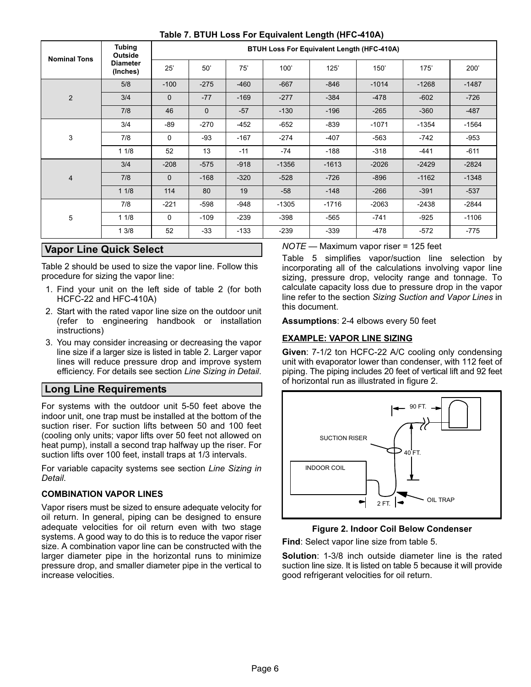<span id="page-5-0"></span>

| <b>Nominal Tons</b> | <b>Tubing</b><br>Outside    |              |              |        | <b>BTUH Loss For Equivalent Length (HFC-410A)</b> |         |         |         |         |
|---------------------|-----------------------------|--------------|--------------|--------|---------------------------------------------------|---------|---------|---------|---------|
|                     | <b>Diameter</b><br>(Inches) | 25'          | 50'          | 75'    | 100'                                              | 125'    | 150'    | 175'    | 200'    |
|                     | 5/8                         | $-100$       | $-275$       | $-460$ | $-667$                                            | $-846$  | $-1014$ | $-1268$ | $-1487$ |
| $\overline{2}$      | 3/4                         | $\mathbf{0}$ | $-77$        | $-169$ | $-277$                                            | $-384$  | $-478$  | $-602$  | $-726$  |
|                     | 7/8                         | 46           | $\mathbf{0}$ | $-57$  | $-130$                                            | $-196$  | $-265$  | $-360$  | $-487$  |
|                     | 3/4                         | -89          | $-270$       | $-452$ | $-652$                                            | $-839$  | $-1071$ | $-1354$ | $-1564$ |
| 3                   | 7/8                         | 0            | $-93$        | $-167$ | $-274$                                            | $-407$  | $-563$  | $-742$  | $-953$  |
|                     | 11/8                        | 52           | 13           | $-11$  | -74                                               | $-188$  | $-318$  | $-441$  | -611    |
|                     | 3/4                         | $-208$       | $-575$       | $-918$ | $-1356$                                           | $-1613$ | $-2026$ | $-2429$ | $-2824$ |
| $\overline{4}$      | 7/8                         | $\mathbf{0}$ | $-168$       | $-320$ | $-528$                                            | $-726$  | $-896$  | $-1162$ | $-1348$ |
|                     | 11/8                        | 114          | 80           | 19     | $-58$                                             | $-148$  | $-266$  | $-391$  | $-537$  |
| 5                   | 7/8                         | $-221$       | $-598$       | $-948$ | $-1305$                                           | $-1716$ | $-2063$ | $-2438$ | $-2844$ |
|                     | 11/8                        | 0            | $-109$       | -239   | $-398$                                            | -565    | $-741$  | $-925$  | $-1106$ |
|                     | 13/8                        | 52           | $-33$        | $-133$ | $-239$                                            | $-339$  | -478    | $-572$  | $-775$  |

#### Table 7. BTUH Loss For Equivalent Length (HFC−410A)

## Vapor Line Quick Select

Table 2 should be used to size the vapor line. Follow this procedure for sizing the vapor line:

- 1. Find your unit on the left side of table 2 (for both HCFC−22 and HFC−410A)
- 2. Start with the rated vapor line size on the outdoor unit (refer to engineering handbook or installation instructions)
- 3. You may consider increasing or decreasing the vapor line size if a larger size is listed in table 2. Larger vapor lines will reduce pressure drop and improve system efficiency. For details see section Line Sizing in Detail.

## Long Line Requirements

For systems with the outdoor unit 5−50 feet above the indoor unit, one trap must be installed at the bottom of the suction riser. For suction lifts between 50 and 100 feet (cooling only units; vapor lifts over 50 feet not allowed on heat pump), install a second trap halfway up the riser. For suction lifts over 100 feet, install traps at 1/3 intervals.

For variable capacity systems see section Line Sizing in Detail.

## COMBINATION VAPOR LINES

Vapor risers must be sized to ensure adequate velocity for oil return. In general, piping can be designed to ensure adequate velocities for oil return even with two stage systems. A good way to do this is to reduce the vapor riser size. A combination vapor line can be constructed with the larger diameter pipe in the horizontal runs to minimize pressure drop, and smaller diameter pipe in the vertical to increase velocities.

NOTE — Maximum vapor riser = 125 feet

Table [5](#page-4-0) simplifies vapor/suction line selection by incorporating all of the calculations involving vapor line sizing, pressure drop, velocity range and tonnage. To calculate capacity loss due to pressure drop in the vapor line refer to the section Sizing Suction and Vapor Lines in this document.

Assumptions: 2−4 elbows every 50 feet

## EXAMPLE: VAPOR LINE SIZING

Given: 7−1/2 ton HCFC−22 A/C cooling only condensing unit with evaporator lower than condenser, with 112 feet of piping. The piping includes 20 feet of vertical lift and 92 feet of horizontal run as illustrated in figure 2.



Figure 2. Indoor Coil Below Condenser

Find: Select vapor line size from table [5](#page-4-0).

Solution: 1−3/8 inch outside diameter line is the rated suction line size. It is listed on table [5](#page-4-0) because it will provide good refrigerant velocities for oil return.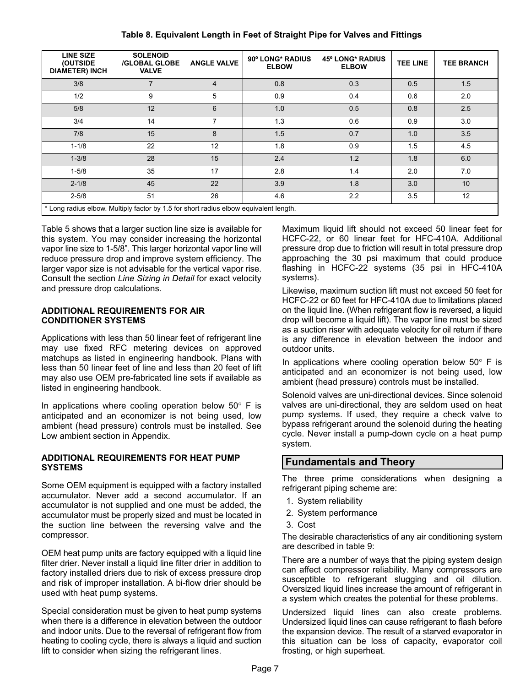<span id="page-6-0"></span>

| <b>LINE SIZE</b><br>(OUTSIDE<br><b>DIAMETER) INCH</b>                                 | <b>SOLENOID</b><br><b>/GLOBAL GLOBE</b><br><b>VALVE</b> | <b>ANGLE VALVE</b> | 90° LONG* RADIUS<br><b>ELBOW</b> | 45° LONG* RADIUS<br><b>ELBOW</b> | <b>TEE LINE</b> | <b>TEE BRANCH</b> |
|---------------------------------------------------------------------------------------|---------------------------------------------------------|--------------------|----------------------------------|----------------------------------|-----------------|-------------------|
| 3/8                                                                                   | 7                                                       | $\overline{4}$     | 0.8                              | 0.3                              | 0.5             | 1.5               |
| 1/2                                                                                   | 9                                                       | 5                  | 0.9                              | 0.4                              | 0.6             | 2.0               |
| 5/8                                                                                   | 12                                                      | 6                  | 1.0                              | 0.5                              | 0.8             | 2.5               |
| 3/4                                                                                   | 14                                                      | 7                  | 1.3                              | 0.6                              | 0.9             | 3.0               |
| 7/8                                                                                   | 15                                                      | 8                  | 1.5                              | 0.7                              | 1.0             | 3.5               |
| $1 - 1/8$                                                                             | 22                                                      | 12                 | 1.8                              | 0.9                              | 1.5             | 4.5               |
| $1 - 3/8$                                                                             | 28                                                      | 15                 | 2.4                              | 1.2                              | 1.8             | 6.0               |
| $1 - 5/8$                                                                             | 35                                                      | 17                 | 2.8                              | 1.4                              | 2.0             | 7.0               |
| $2 - 1/8$                                                                             | 45                                                      | 22                 | 3.9                              | 1.8                              | 3.0             | 10                |
| $2 - 5/8$                                                                             | 51                                                      | 26                 | 4.6                              | 2.2                              | 3.5             | 12                |
| * Long radius elbow. Multiply factor by 1.5 for short radius elbow equivalent length. |                                                         |                    |                                  |                                  |                 |                   |

Table 8. Equivalent Length in Feet of Straight Pipe for Valves and Fittings

Table [5](#page-4-0) shows that a larger suction line size is available for this system. You may consider increasing the horizontal vapor line size to 1−5/8". This larger horizontal vapor line will reduce pressure drop and improve system efficiency. The larger vapor size is not advisable for the vertical vapor rise. Consult the section Line Sizing in Detail for exact velocity and pressure drop calculations.

#### ADDITIONAL REQUIREMENTS FOR AIR CONDITIONER SYSTEMS

Applications with less than 50 linear feet of refrigerant line may use fixed RFC metering devices on approved matchups as listed in engineering handbook. Plans with less than 50 linear feet of line and less than 20 feet of lift may also use OEM pre−fabricated line sets if available as listed in engineering handbook.

In applications where cooling operation below  $50^\circ$  F is anticipated and an economizer is not being used, low ambient (head pressure) controls must be installed. See Low ambient section in Appendix.

#### ADDITIONAL REQUIREMENTS FOR HEAT PUMP **SYSTEMS**

Some OEM equipment is equipped with a factory installed accumulator. Never add a second accumulator. If an accumulator is not supplied and one must be added, the accumulator must be properly sized and must be located in the suction line between the reversing valve and the compressor.

OEM heat pump units are factory equipped with a liquid line filter drier. Never install a liquid line filter drier in addition to factory installed driers due to risk of excess pressure drop and risk of improper installation. A bi−flow drier should be used with heat pump systems.

Special consideration must be given to heat pump systems when there is a difference in elevation between the outdoor and indoor units. Due to the reversal of refrigerant flow from heating to cooling cycle, there is always a liquid and suction lift to consider when sizing the refrigerant lines.

Maximum liquid lift should not exceed 50 linear feet for HCFC−22, or 60 linear feet for HFC−410A. Additional pressure drop due to friction will result in total pressure drop approaching the 30 psi maximum that could produce flashing in HCFC−22 systems (35 psi in HFC−410A systems).

Likewise, maximum suction lift must not exceed 50 feet for HCFC−22 or 60 feet for HFC−410A due to limitations placed on the liquid line. (When refrigerant flow is reversed, a liquid drop will become a liquid lift). The vapor line must be sized as a suction riser with adequate velocity for oil return if there is any difference in elevation between the indoor and outdoor units.

In applications where cooling operation below  $50^\circ$  F is anticipated and an economizer is not being used, low ambient (head pressure) controls must be installed.

Solenoid valves are uni−directional devices. Since solenoid valves are uni−directional, they are seldom used on heat pump systems. If used, they require a check valve to bypass refrigerant around the solenoid during the heating cycle. Never install a pump−down cycle on a heat pump system.

## Fundamentals and Theory

The three prime considerations when designing a refrigerant piping scheme are:

- 1. System reliability
- 2. System performance
- 3. Cost

The desirable characteristics of any air conditioning system are described in table 9:

There are a number of ways that the piping system design can affect compressor reliability. Many compressors are susceptible to refrigerant slugging and oil dilution. Oversized liquid lines increase the amount of refrigerant in a system which creates the potential for these problems.

Undersized liquid lines can also create problems. Undersized liquid lines can cause refrigerant to flash before the expansion device. The result of a starved evaporator in this situation can be loss of capacity, evaporator coil frosting, or high superheat.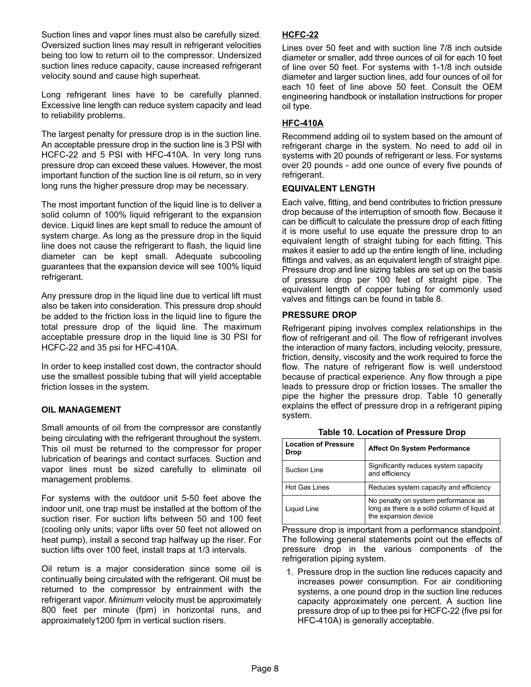Suction lines and vapor lines must also be carefully sized. Oversized suction lines may result in refrigerant velocities being too low to return oil to the compressor. Undersized suction lines reduce capacity, cause increased refrigerant velocity sound and cause high superheat.

Long refrigerant lines have to be carefully planned. Excessive line length can reduce system capacity and lead to reliability problems.

The largest penalty for pressure drop is in the suction line. An acceptable pressure drop in the suction line is 3 PSI with HCFC−22 and 5 PSI with HFC−410A. In very long runs pressure drop can exceed these values. However, the most important function of the suction line is oil return, so in very long runs the higher pressure drop may be necessary.

The most important function of the liquid line is to deliver a solid column of 100% liquid refrigerant to the expansion device. Liquid lines are kept small to reduce the amount of system charge. As long as the pressure drop in the liquid line does not cause the refrigerant to flash, the liquid line diameter can be kept small. Adequate subcooling guarantees that the expansion device will see 100% liquid refrigerant.

Any pressure drop in the liquid line due to vertical lift must also be taken into consideration. This pressure drop should be added to the friction loss in the liquid line to figure the total pressure drop of the liquid line. The maximum acceptable pressure drop in the liquid line is 30 PSI for HCFC−22 and 35 psi for HFC−410A.

In order to keep installed cost down, the contractor should use the smallest possible tubing that will yield acceptable friction losses in the system.

## OIL MANAGEMENT

Small amounts of oil from the compressor are constantly being circulating with the refrigerant throughout the system. This oil must be returned to the compressor for proper lubrication of bearings and contact surfaces. Suction and vapor lines must be sized carefully to eliminate oil management problems.

For systems with the outdoor unit 5−50 feet above the indoor unit, one trap must be installed at the bottom of the suction riser. For suction lifts between 50 and 100 feet (cooling only units; vapor lifts over 50 feet not allowed on heat pump), install a second trap halfway up the riser. For suction lifts over 100 feet, install traps at 1/3 intervals.

Oil return is a major consideration since some oil is continually being circulated with the refrigerant. Oil must be returned to the compressor by entrainment with the refrigerant vapor. Minimum velocity must be approximately 800 feet per minute (fpm) in horizontal runs, and approximately1200 fpm in vertical suction risers.

## HCFC−22

Lines over 50 feet and with suction line 7/8 inch outside diameter or smaller, add three ounces of oil for each 10 feet of line over 50 feet. For systems with 1−1/8 inch outside diameter and larger suction lines, add four ounces of oil for each 10 feet of line above 50 feet. Consult the OEM engineering handbook or installation instructions for proper oil type.

## HFC−410A

Recommend adding oil to system based on the amount of refrigerant charge in the system. No need to add oil in systems with 20 pounds of refrigerant or less. For systems over 20 pounds − add one ounce of every five pounds of refrigerant.

#### EQUIVALENT LENGTH

Each valve, fitting, and bend contributes to friction pressure drop because of the interruption of smooth flow. Because it can be difficult to calculate the pressure drop of each fitting it is more useful to use equate the pressure drop to an equivalent length of straight tubing for each fitting. This makes it easier to add up the entire length of line, including fittings and valves, as an equivalent length of straight pipe. Pressure drop and line sizing tables are set up on the basis of pressure drop per 100 feet of straight pipe. The equivalent length of copper tubing for commonly used valves and fittings can be found in table [8.](#page-6-0)

## PRESSURE DROP

Refrigerant piping involves complex relationships in the flow of refrigerant and oil. The flow of refrigerant involves the interaction of many factors, including velocity, pressure, friction, density, viscosity and the work required to force the flow. The nature of refrigerant flow is well understood because of practical experience. Any flow through a pipe leads to pressure drop or friction losses. The smaller the pipe the higher the pressure drop. Table 10 generally explains the effect of pressure drop in a refrigerant piping system.

| <b>Location of Pressure</b><br><b>Drop</b> | <b>Affect On System Performance</b>                                                                         |
|--------------------------------------------|-------------------------------------------------------------------------------------------------------------|
| <b>Suction Line</b>                        | Significantly reduces system capacity<br>and efficiency                                                     |
| <b>Hot Gas Lines</b>                       | Reduces system capacity and efficiency                                                                      |
| Liquid Line                                | No penalty on system performance as<br>long as there is a solid column of liquid at<br>the expansion device |

Table 10. Location of Pressure Drop

Pressure drop is important from a performance standpoint. The following general statements point out the effects of pressure drop in the various components of the refrigeration piping system.

1. Pressure drop in the suction line reduces capacity and increases power consumption. For air conditioning systems, a one pound drop in the suction line reduces capacity approximately one percent. A suction line pressure drop of up to thee psi for HCFC−22 (five psi for HFC−410A) is generally acceptable.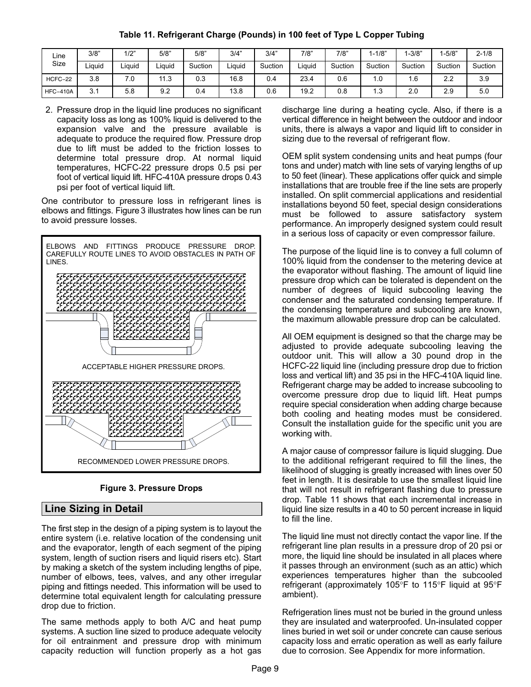Table 11. Refrigerant Charge (Pounds) in 100 feet of Type L Copper Tubing

<span id="page-8-0"></span>

| Line            | 3/8"               | 1/2"   | 5/8"            | 5/8"    | 3/4"   | 3/4"    | 7/8"   | 7/8"    | $-1/8"$          | $1 - 3/8"$ | $1 - 5/8"$ | $2 - 1/8$ |
|-----------------|--------------------|--------|-----------------|---------|--------|---------|--------|---------|------------------|------------|------------|-----------|
| Size            | . .<br>Liauid      | Liauid | Liauid          | Suction | iauid. | Suction | Liauid | Suction | Suction          | Suction    | Suction    | Suction   |
| HCFC-22         | 3.8                | 7.0    | 44<br>ົ<br>ن. ا | 0.3     | 16.8   | 0.4     | 23.4   | 0.6     | 1.0              | l . G      | າາ<br>ے۔ے  | 3.9       |
| <b>HFC-410A</b> | $\mathbf{r}$<br>ບ. | 5.8    | 9.2             | 0.4     | 13.8   | 0.6     | 19.2   | 0.8     | $\overline{1.3}$ | 2.0        | 2.9        | 5.0       |

2. Pressure drop in the liquid line produces no significant capacity loss as long as 100% liquid is delivered to the expansion valve and the pressure available is adequate to produce the required flow. Pressure drop due to lift must be added to the friction losses to determine total pressure drop. At normal liquid temperatures, HCFC−22 pressure drops 0.5 psi per foot of vertical liquid lift. HFC−410A pressure drops 0.43 psi per foot of vertical liquid lift.

One contributor to pressure loss in refrigerant lines is elbows and fittings. Figure 3 illustrates how lines can be run to avoid pressure losses.



Figure 3. Pressure Drops

## Line Sizing in Detail

The first step in the design of a piping system is to layout the entire system (i.e. relative location of the condensing unit and the evaporator, length of each segment of the piping system, length of suction risers and liquid risers etc). Start by making a sketch of the system including lengths of pipe, number of elbows, tees, valves, and any other irregular piping and fittings needed. This information will be used to determine total equivalent length for calculating pressure drop due to friction.

The same methods apply to both A/C and heat pump systems. A suction line sized to produce adequate velocity for oil entrainment and pressure drop with minimum capacity reduction will function properly as a hot gas discharge line during a heating cycle. Also, if there is a vertical difference in height between the outdoor and indoor units, there is always a vapor and liquid lift to consider in sizing due to the reversal of refrigerant flow.

OEM split system condensing units and heat pumps (four tons and under) match with line sets of varying lengths of up to 50 feet (linear). These applications offer quick and simple installations that are trouble free if the line sets are properly installed. On split commercial applications and residential installations beyond 50 feet, special design considerations must be followed to assure satisfactory system performance. An improperly designed system could result in a serious loss of capacity or even compressor failure.

ÄÄÄÄÄÄÄÄÄÄÄÄÄÄÄ pressure drop which can be tolerated is dependent on the ÄÄÄÄÄÄÄÄÄÄÄÄÄÄÄ number of degrees of liquid subcooling leaving the ÄÄÄÄÄÄÄÄÄÄÄÄÄÄÄ the condensing temperature and subcooling are known, The purpose of the liquid line is to convey a full column of 100% liquid from the condenser to the metering device at the evaporator without flashing. The amount of liquid line condenser and the saturated condensing temperature. If

— LE EE EE EE EE EE EE THAN OEM equipment is designed so that the charge may be ÄÄÄÄÄÄÄÄÄÄÄÄÄÄÄ adjusted to provide adequate subcooling leaving the **FEET** Refrigerant charge may be added to increase subcooling to outdoor unit. This will allow a 30 pound drop in the HCFC−22 liquid line (including pressure drop due to friction loss and vertical lift) and 35 psi in the HFC−410A liquid line. overcome pressure drop due to liquid lift. Heat pumps working with.

> A major cause of compressor failure is liquid slugging. Due to the additional refrigerant required to fill the lines, the likelihood of slugging is greatly increased with lines over 50 feet in length. It is desirable to use the smallest liquid line that will not result in refrigerant flashing due to pressure drop. Table 11 shows that each incremental increase in liquid line size results in a 40 to 50 percent increase in liquid to fill the line.

> The liquid line must not directly contact the vapor line. If the refrigerant line plan results in a pressure drop of 20 psi or more, the liquid line should be insulated in all places where it passes through an environment (such as an attic) which experiences temperatures higher than the subcooled refrigerant (approximately 105°F to 115°F liquid at 95°F ambient).

> Refrigeration lines must not be buried in the ground unless they are insulated and waterproofed. Un−insulated copper lines buried in wet soil or under concrete can cause serious capacity loss and erratic operation as well as early failure due to corrosion. See Appendix for more information.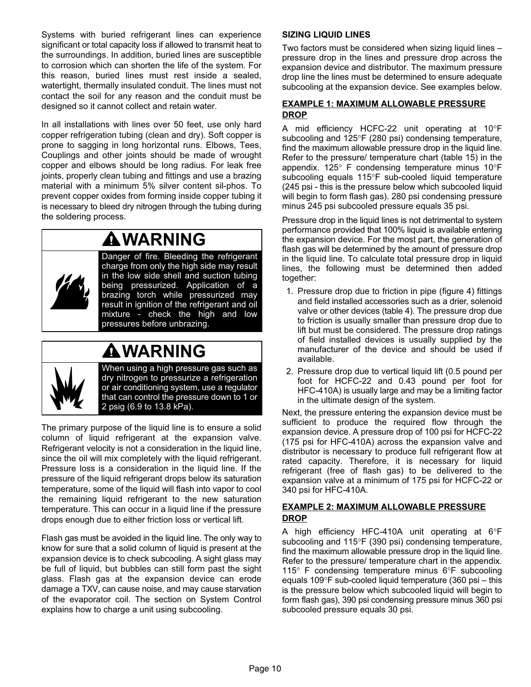Systems with buried refrigerant lines can experience significant or total capacity loss if allowed to transmit heat to the surroundings. In addition, buried lines are susceptible to corrosion which can shorten the life of the system. For this reason, buried lines must rest inside a sealed, watertight, thermally insulated conduit. The lines must not contact the soil for any reason and the conduit must be designed so it cannot collect and retain water.

In all installations with lines over 50 feet, use only hard copper refrigeration tubing (clean and dry). Soft copper is prone to sagging in long horizontal runs. Elbows, Tees, Couplings and other joints should be made of wrought copper and elbows should be long radius. For leak free joints, properly clean tubing and fittings and use a brazing material with a minimum 5% silver content sil−phos. To prevent copper oxides from forming inside copper tubing it is necessary to bleed dry nitrogen through the tubing during the soldering process.

# WARNING



Danger of fire. Bleeding the refrigerant charge from only the high side may result in the low side shell and suction tubing being pressurized. Application of a brazing torch while pressurized may result in ignition of the refrigerant and oil mixture − check the high and low pressures before unbrazing.

## WARNING

When using a high pressure gas such as dry nitrogen to pressurize a refrigeration or air conditioning system, use a regulator that can control the pressure down to 1 or 2 psig (6.9 to 13.8 kPa).

The primary purpose of the liquid line is to ensure a solid column of liquid refrigerant at the expansion valve. Refrigerant velocity is not a consideration in the liquid line, since the oil will mix completely with the liquid refrigerant. Pressure loss is a consideration in the liquid line. If the pressure of the liquid refrigerant drops below its saturation temperature, some of the liquid will flash into vapor to cool the remaining liquid refrigerant to the new saturation temperature. This can occur in a liquid line if the pressure drops enough due to either friction loss or vertical lift.

Flash gas must be avoided in the liquid line. The only way to know for sure that a solid column of liquid is present at the expansion device is to check subcooling. A sight glass may be full of liquid, but bubbles can still form past the sight glass. Flash gas at the expansion device can erode damage a TXV, can cause noise, and may cause starvation of the evaporator coil. The section on System Control explains how to charge a unit using subcooling.

## SIZING LIQUID LINES

Two factors must be considered when sizing liquid lines – pressure drop in the lines and pressure drop across the expansion device and distributor. The maximum pressure drop line the lines must be determined to ensure adequate subcooling at the expansion device. See examples below.

## EXAMPLE 1: MAXIMUM ALLOWABLE PRESSURE **DROP**

A mid efficiency HCFC-22 unit operating at 10°F subcooling and  $125^{\circ}F$  (280 psi) condensing temperature, find the maximum allowable pressure drop in the liquid line. Refer to the pressure/ temperature chart (table [15](#page-29-0)) in the appendix.  $125^{\circ}$  F condensing temperature minus  $10^{\circ}$ F subcooling equals 115°F sub-cooled liquid temperature (245 psi − this is the pressure below which subcooled liquid will begin to form flash gas). 280 psi condensing pressure minus 245 psi subcooled pressure equals 35 psi.

Pressure drop in the liquid lines is not detrimental to system performance provided that 100% liquid is available entering the expansion device. For the most part, the generation of flash gas will be determined by the amount of pressure drop in the liquid line. To calculate total pressure drop in liquid lines, the following must be determined then added together:

- 1. Pressure drop due to friction in pipe (figure [4](#page-10-0)) fittings and field installed accessories such as a drier, solenoid valve or other devices (table 4). The pressure drop due to friction is usually smaller than pressure drop due to lift but must be considered. The pressure drop ratings of field installed devices is usually supplied by the manufacturer of the device and should be used if available.
- 2. Pressure drop due to vertical liquid lift (0.5 pound per foot for HCFC−22 and 0.43 pound per foot for HFC-410A) is usually large and may be a limiting factor in the ultimate design of the system.

Next, the pressure entering the expansion device must be sufficient to produce the required flow through the expansion device. A pressure drop of 100 psi for HCFC−22 (175 psi for HFC−410A) across the expansion valve and distributor is necessary to produce full refrigerant flow at rated capacity. Therefore, it is necessary for liquid refrigerant (free of flash gas) to be delivered to the expansion valve at a minimum of 175 psi for HCFC−22 or 340 psi for HFC−410A.

## EXAMPLE 2: MAXIMUM ALLOWABLE PRESSURE DROP

A high efficiency HFC-410A unit operating at 6°F subcooling and 115°F (390 psi) condensing temperature, find the maximum allowable pressure drop in the liquid line. Refer to the pressure/ temperature chart in the appendix. 115 $\degree$  F condensing temperature minus 6 $\degree$ F subcooling equals 109°F sub-cooled liquid temperature (360 psi – this is the pressure below which subcooled liquid will begin to form flash gas), 390 psi condensing pressure minus 360 psi subcooled pressure equals 30 psi.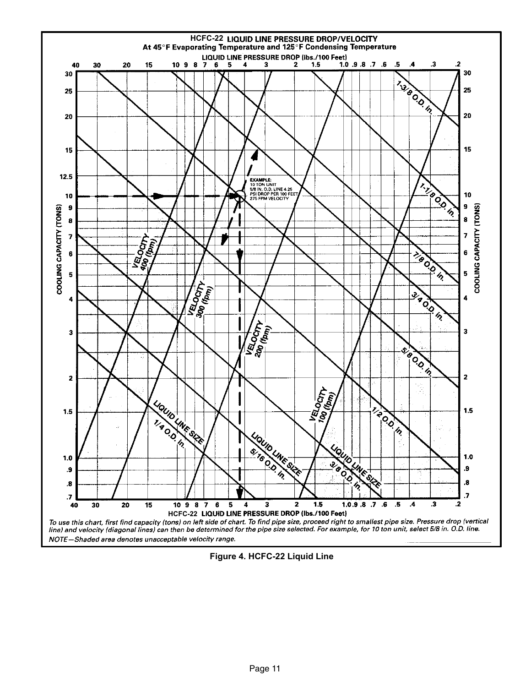<span id="page-10-0"></span>

Figure 4. HCFC−22 Liquid Line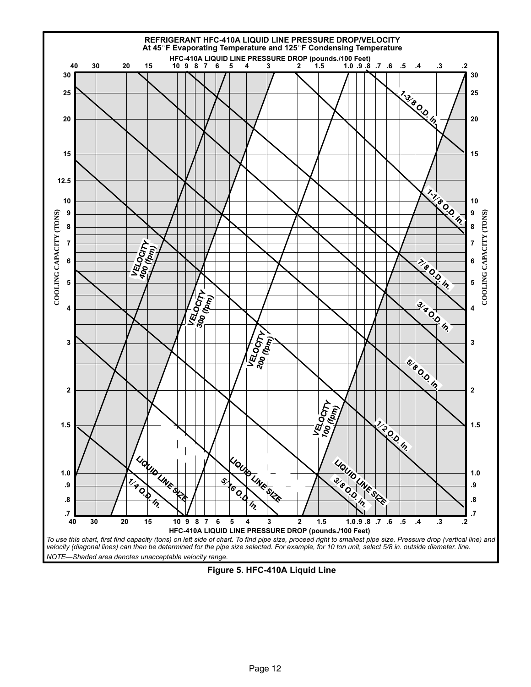<span id="page-11-0"></span>

Figure 5. HFC−410A Liquid Line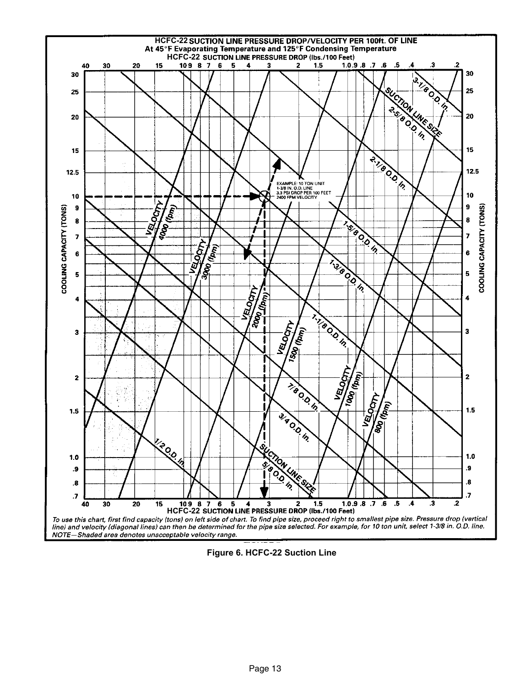<span id="page-12-0"></span>

Figure 6. HCFC−22 Suction Line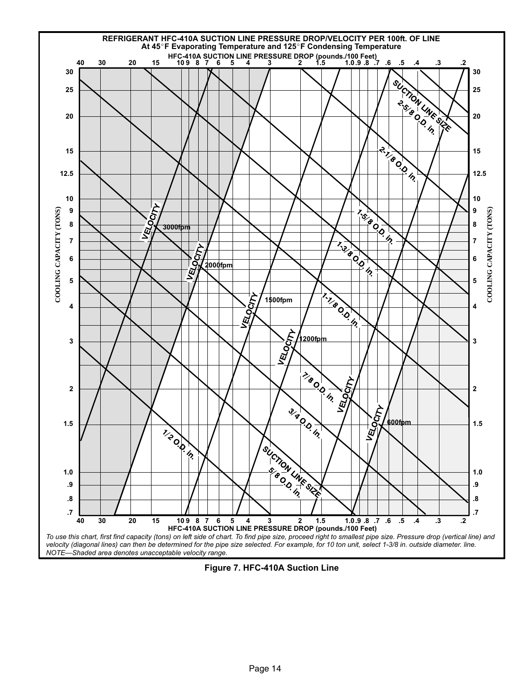

Figure 7. HFC−410A Suction Line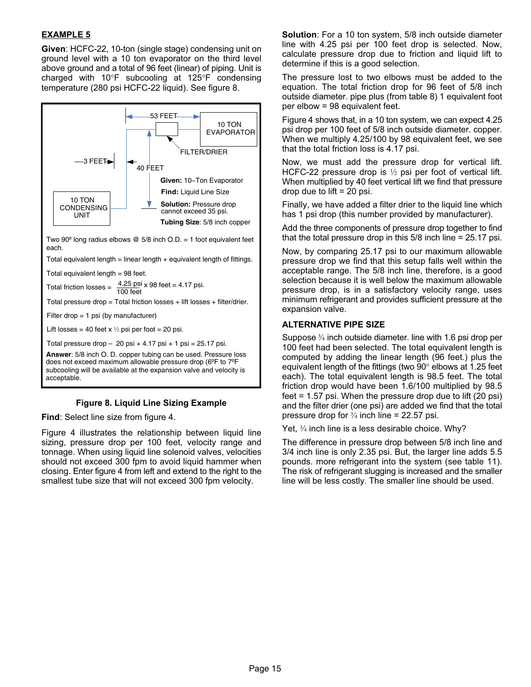## EXAMPLE 5

Given: HCFC−22, 10−ton (single stage) condensing unit on ground level with a 10 ton evaporator on the third level above ground and a total of 96 feet (linear) of piping. Unit is charged with  $10^{\circ}$ F subcooling at 125 $^{\circ}$ F condensing temperature (280 psi HCFC−22 liquid). See figure 8.



Two 90 $^{\circ}$  long radius elbows  $\circledR$  5/8 inch O.D. = 1 foot equivalent feet each.

Total equivalent length = linear length + equivalent length of fittings.

Total equivalent length = 98 feet.

Total friction losses  $=$ 100 feet  $4.25$  psi x 98 feet = 4.17 psi.

Total pressure drop = Total friction losses + lift losses + filter/drier.

Filter drop = 1 psi (by manufacturer)

Lift losses = 40 feet x  $\frac{1}{2}$  psi per foot = 20 psi.

Total pressure drop  $-20$  psi  $+4.17$  psi  $+1$  psi = 25.17 psi.

**Answer**: 5/8 inch O. D. copper tubing can be used. Pressure loss does not exceed maximum allowable pressure drop (6ºF to 7ºF subcooling will be available at the expansion valve and velocity is acceptable.

#### Figure 8. Liquid Line Sizing Example

Find: Select line size from figure [4](#page-10-0).

Figure [4](#page-10-0) illustrates the relationship between liquid line sizing, pressure drop per 100 feet, velocity range and tonnage. When using liquid line solenoid valves, velocities should not exceed 300 fpm to avoid liquid hammer when closing. Enter figure 4 from left and extend to the right to the smallest tube size that will not exceed 300 fpm velocity.

Solution: For a 10 ton system, 5/8 inch outside diameter line with 4.25 psi per 100 feet drop is selected. Now, calculate pressure drop due to friction and liquid lift to determine if this is a good selection.

The pressure lost to two elbows must be added to the equation. The total friction drop for 96 feet of 5/8 inch outside diameter. pipe plus (from table [8](#page-6-0)) 1 equivalent foot per elbow = 98 equivalent feet.

Figure [4](#page-10-0) shows that, in a 10 ton system, we can expect 4.25 psi drop per 100 feet of 5/8 inch outside diameter. copper. When we multiply 4.25/100 by 98 equivalent feet, we see that the total friction loss is 4.17 psi.

Now, we must add the pressure drop for vertical lift. HCFC-22 pressure drop is 1/2 psi per foot of vertical lift. When multiplied by 40 feet vertical lift we find that pressure drop due to lift  $= 20$  psi.

Finally, we have added a filter drier to the liquid line which has 1 psi drop (this number provided by manufacturer).

Add the three components of pressure drop together to find that the total pressure drop in this 5/8 inch line = 25.17 psi.

Now, by comparing 25.17 psi to our maximum allowable pressure drop we find that this setup falls well within the acceptable range. The 5/8 inch line, therefore, is a good selection because it is well below the maximum allowable pressure drop, is in a satisfactory velocity range, uses minimum refrigerant and provides sufficient pressure at the expansion valve.

#### ALTERNATIVE PIPE SIZE

Suppose ¾ inch outside diameter. line with 1.6 psi drop per 100 feet had been selected. The total equivalent length is computed by adding the linear length (96 feet.) plus the equivalent length of the fittings (two  $90^\circ$  elbows at 1.25 feet each). The total equivalent length is 98.5 feet. The total friction drop would have been 1.6/100 multiplied by 98.5 feet = 1.57 psi. When the pressure drop due to lift (20 psi) and the filter drier (one psi) are added we find that the total pressure drop for  $\frac{3}{4}$  inch line = 22.57 psi.

Yet, 3/4 inch line is a less desirable choice. Why?

The difference in pressure drop between 5/8 inch line and 3/4 inch line is only 2.35 psi. But, the larger line adds 5.5 pounds. more refrigerant into the system (see table [11](#page-8-0)). The risk of refrigerant slugging is increased and the smaller line will be less costly. The smaller line should be used.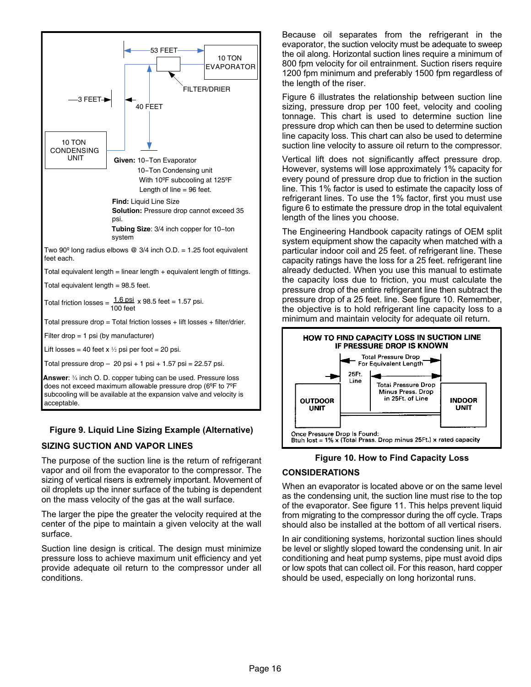<span id="page-15-0"></span>

## Figure 9. Liquid Line Sizing Example (Alternative)

## SIZING SUCTION AND VAPOR LINES

The purpose of the suction line is the return of refrigerant vapor and oil from the evaporator to the compressor. The sizing of vertical risers is extremely important. Movement of oil droplets up the inner surface of the tubing is dependent on the mass velocity of the gas at the wall surface.

The larger the pipe the greater the velocity required at the center of the pipe to maintain a given velocity at the wall surface.

Suction line design is critical. The design must minimize pressure loss to achieve maximum unit efficiency and yet provide adequate oil return to the compressor under all conditions.

Because oil separates from the refrigerant in the evaporator, the suction velocity must be adequate to sweep the oil along. Horizontal suction lines require a minimum of 800 fpm velocity for oil entrainment. Suction risers require 1200 fpm minimum and preferably 1500 fpm regardless of the length of the riser.

Figure [6](#page-12-0) illustrates the relationship between suction line sizing, pressure drop per 100 feet, velocity and cooling tonnage. This chart is used to determine suction line pressure drop which can then be used to determine suction line capacity loss. This chart can also be used to determine suction line velocity to assure oil return to the compressor.

Vertical lift does not significantly affect pressure drop. However, systems will lose approximately 1% capacity for every pound of pressure drop due to friction in the suction line. This 1% factor is used to estimate the capacity loss of refrigerant lines. To use the 1% factor, first you must use figure [6](#page-12-0) to estimate the pressure drop in the total equivalent length of the lines you choose.

The Engineering Handbook capacity ratings of OEM split system equipment show the capacity when matched with a particular indoor coil and 25 feet. of refrigerant line. These capacity ratings have the loss for a 25 feet. refrigerant line already deducted. When you use this manual to estimate the capacity loss due to friction, you must calculate the pressure drop of the entire refrigerant line then subtract the pressure drop of a 25 feet. line. See figure 10. Remember, the objective is to hold refrigerant line capacity loss to a minimum and maintain velocity for adequate oil return.



Figure 10. How to Find Capacity Loss

## CONSIDERATIONS

When an evaporator is located above or on the same level as the condensing unit, the suction line must rise to the top of the evaporator. See figure [11](#page-16-0). This helps prevent liquid from migrating to the compressor during the off cycle. Traps should also be installed at the bottom of all vertical risers.

In air conditioning systems, horizontal suction lines should be level or slightly sloped toward the condensing unit. In air conditioning and heat pump systems, pipe must avoid dips or low spots that can collect oil. For this reason, hard copper should be used, especially on long horizontal runs.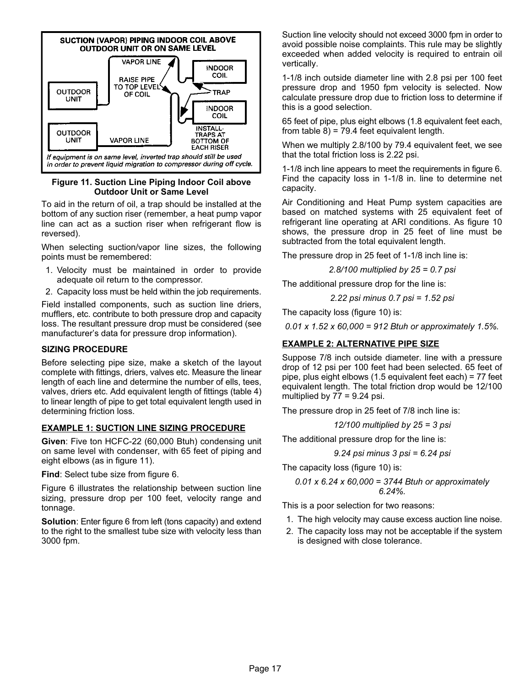<span id="page-16-0"></span>

Figure 11. Suction Line Piping Indoor Coil above Outdoor Unit or Same Level

To aid in the return of oil, a trap should be installed at the bottom of any suction riser (remember, a heat pump vapor line can act as a suction riser when refrigerant flow is reversed).

When selecting suction/vapor line sizes, the following points must be remembered:

- 1. Velocity must be maintained in order to provide adequate oil return to the compressor.
- 2. Capacity loss must be held within the job requirements.

Field installed components, such as suction line driers, mufflers, etc. contribute to both pressure drop and capacity loss. The resultant pressure drop must be considered (see manufacturer's data for pressure drop information).

## SIZING PROCEDURE

Before selecting pipe size, make a sketch of the layout complete with fittings, driers, valves etc. Measure the linear length of each line and determine the number of ells, tees, valves, driers etc. Add equivalent length of fittings (table 4) to linear length of pipe to get total equivalent length used in determining friction loss.

## EXAMPLE 1: SUCTION LINE SIZING PROCEDURE

Given: Five ton HCFC−22 (60,000 Btuh) condensing unit on same level with condenser, with 65 feet of piping and eight elbows (as in figure 11).

Find: Select tube size from figure [6.](#page-12-0)

Figure [6](#page-12-0) illustrates the relationship between suction line sizing, pressure drop per 100 feet, velocity range and tonnage.

Solution: Enter figure [6](#page-12-0) from left (tons capacity) and extend to the right to the smallest tube size with velocity less than 3000 fpm.

Suction line velocity should not exceed 3000 fpm in order to avoid possible noise complaints. This rule may be slightly exceeded when added velocity is required to entrain oil vertically.

1−1/8 inch outside diameter line with 2.8 psi per 100 feet pressure drop and 1950 fpm velocity is selected. Now calculate pressure drop due to friction loss to determine if this is a good selection.

65 feet of pipe, plus eight elbows (1.8 equivalent feet each, from table  $8$ ) = 79.4 feet equivalent length.

When we multiply 2.8/100 by 79.4 equivalent feet, we see that the total friction loss is 2.22 psi.

1−1/8 inch line appears to meet the requirements in figure [6.](#page-12-0) Find the capacity loss in 1−1/8 in. line to determine net capacity.

Air Conditioning and Heat Pump system capacities are based on matched systems with 25 equivalent feet of refrigerant line operating at ARI conditions. As figure [10](#page-15-0) shows, the pressure drop in 25 feet of line must be subtracted from the total equivalent length.

The pressure drop in 25 feet of 1−1/8 inch line is:

2.8/100 multiplied by 25 = 0.7 psi

The additional pressure drop for the line is:

2.22 psi minus 0.7 psi = 1.52 psi

The capacity loss (figure 10) is:

0.01 x 1.52 x 60,000 = 912 Btuh or approximately 1.5%.

## EXAMPLE 2: ALTERNATIVE PIPE SIZE

Suppose 7/8 inch outside diameter. line with a pressure drop of 12 psi per 100 feet had been selected. 65 feet of pipe, plus eight elbows (1.5 equivalent feet each) = 77 feet equivalent length. The total friction drop would be 12/100 multiplied by  $77 = 9.24$  psi.

The pressure drop in 25 feet of 7/8 inch line is:

12/100 multiplied by  $25 = 3$  psi

The additional pressure drop for the line is:

9.24 psi minus 3 psi = 6.24 psi

The capacity loss (figure 10) is:

$$
0.01 \times 6.24 \times 60,000 = 3744
$$
 Btuh or approximately  $6.24\%$ .

This is a poor selection for two reasons:

- 1. The high velocity may cause excess auction line noise.
- 2. The capacity loss may not be acceptable if the system is designed with close tolerance.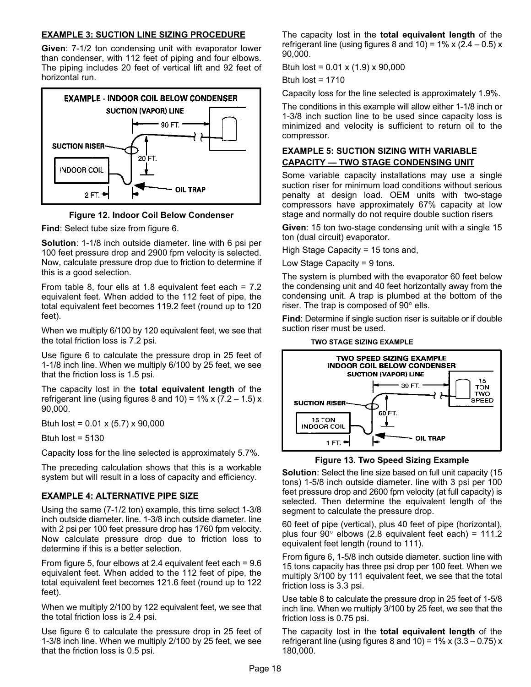#### EXAMPLE 3: SUCTION LINE SIZING PROCEDURE

Given: 7−1/2 ton condensing unit with evaporator lower than condenser, with 112 feet of piping and four elbows. The piping includes 20 feet of vertical lift and 92 feet of horizontal run.





Find: Select tube size from figure [6.](#page-12-0)

Solution: 1−1/8 inch outside diameter. line with 6 psi per 100 feet pressure drop and 2900 fpm velocity is selected. Now, calculate pressure drop due to friction to determine if this is a good selection.

From table [8](#page-6-0), four ells at 1.8 equivalent feet each = 7.2 equivalent feet. When added to the 112 feet of pipe, the total equivalent feet becomes 119.2 feet (round up to 120 feet).

When we multiply 6/100 by 120 equivalent feet, we see that the total friction loss is 7.2 psi.

Use figure [6](#page-12-0) to calculate the pressure drop in 25 feet of 1−1/8 inch line. When we multiply 6/100 by 25 feet, we see that the friction loss is 1.5 psi.

The capacity lost in the **total equivalent length** of the refrigerant line (using figures 8 and 10) =  $1\%$  x (7.2 – 1.5) x 90,000.

Btuh lost =  $0.01 \times (5.7) \times 90,000$ 

Btuh lost =  $5130$ 

Capacity loss for the line selected is approximately 5.7%.

The preceding calculation shows that this is a workable system but will result in a loss of capacity and efficiency.

#### EXAMPLE 4: ALTERNATIVE PIPE SIZE

Using the same (7−1/2 ton) example, this time select 1−3/8 inch outside diameter. line. 1−3/8 inch outside diameter. line with 2 psi per 100 feet pressure drop has 1760 fpm velocity. Now calculate pressure drop due to friction loss to determine if this is a better selection.

From figure [5](#page-11-0), four elbows at 2.4 equivalent feet each = 9.6 equivalent feet. When added to the 112 feet of pipe, the total equivalent feet becomes 121.6 feet (round up to 122 feet).

When we multiply 2/100 by 122 equivalent feet, we see that the total friction loss is 2.4 psi.

Use figure [6](#page-12-0) to calculate the pressure drop in 25 feet of 1−3/8 inch line. When we multiply 2/100 by 25 feet, we see that the friction loss is 0.5 psi.

The capacity lost in the **total equivalent length** of the refrigerant line (using figures 8 and 10) =  $1\%$  x (2.4 – 0.5) x 90,000.

Btuh lost =  $0.01 \times (1.9) \times 90,000$ 

Btuh lost  $= 1710$ 

Capacity loss for the line selected is approximately 1.9%.

The conditions in this example will allow either 1−1/8 inch or 1−3/8 inch suction line to be used since capacity loss is minimized and velocity is sufficient to return oil to the compressor.

## EXAMPLE 5: SUCTION SIZING WITH VARIABLE <u>CAPACITY — TWO STAGE CONDENSING UNIT</u>

Some variable capacity installations may use a single suction riser for minimum load conditions without serious penalty at design load. OEM units with two−stage compressors have approximately 67% capacity at low stage and normally do not require double suction risers

Given: 15 ton two−stage condensing unit with a single 15 ton (dual circuit) evaporator.

High Stage Capacity = 15 tons and,

Low Stage Capacity = 9 tons.

The system is plumbed with the evaporator 60 feet below the condensing unit and 40 feet horizontally away from the condensing unit. A trap is plumbed at the bottom of the riser. The trap is composed of  $90^\circ$  ells.

Find: Determine if single suction riser is suitable or if double suction riser must be used.



Figure 13. Two Speed Sizing Example

Solution: Select the line size based on full unit capacity (15 tons) 1−5/8 inch outside diameter. line with 3 psi per 100 feet pressure drop and 2600 fpm velocity (at full capacity) is selected. Then determine the equivalent length of the segment to calculate the pressure drop.

60 feet of pipe (vertical), plus 40 feet of pipe (horizontal), plus four  $90^{\circ}$  elbows (2.8 equivalent feet each) = 111.2 equivalent feet length (round to 111).

From figure [6](#page-12-0), 1−5/8 inch outside diameter. suction line with 15 tons capacity has three psi drop per 100 feet. When we multiply 3/100 by 111 equivalent feet, we see that the total friction loss is 3.3 psi.

Use table [8](#page-6-0) to calculate the pressure drop in 25 feet of 1−5/8 inch line. When we multiply 3/100 by 25 feet, we see that the friction loss is 0.75 psi.

The capacity lost in the **total equivalent length** of the refrigerant line (using figures 8 and 10) =  $1\%$  x (3.3 – 0.75) x 180,000.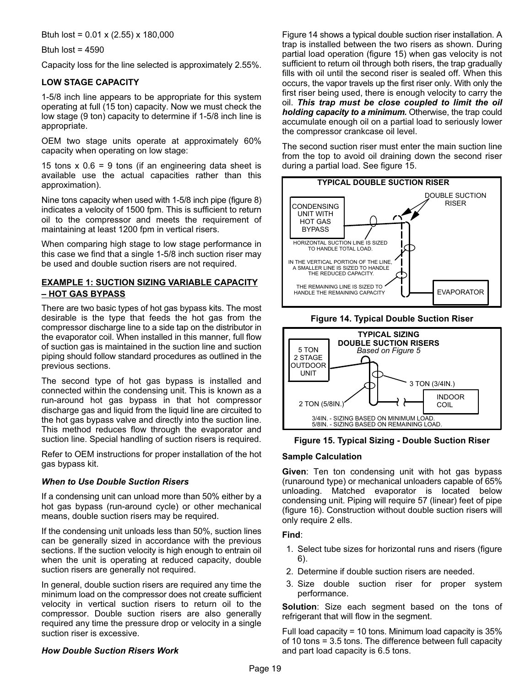Btuh lost = 0.01 x (2.55) x 180,000

Btuh lost =  $4590$ 

Capacity loss for the line selected is approximately 2.55%.

## LOW STAGE CAPACITY

1−5/8 inch line appears to be appropriate for this system operating at full (15 ton) capacity. Now we must check the low stage (9 ton) capacity to determine if 1−5/8 inch line is appropriate.

OEM two stage units operate at approximately 60% capacity when operating on low stage:

15 tons  $x$  0.6 = 9 tons (if an engineering data sheet is available use the actual capacities rather than this approximation).

Nine tons capacity when used with 1−5/8 inch pipe (figure 8) indicates a velocity of 1500 fpm. This is sufficient to return oil to the compressor and meets the requirement of maintaining at least 1200 fpm in vertical risers.

When comparing high stage to low stage performance in this case we find that a single 1−5/8 inch suction riser may be used and double suction risers are not required.

#### EXAMPLE 1: SUCTION SIZING VARIABLE CAPACITY – HOT GAS BYPASS

There are two basic types of hot gas bypass kits. The most desirable is the type that feeds the hot gas from the compressor discharge line to a side tap on the distributor in the evaporator coil. When installed in this manner, full flow of suction gas is maintained in the suction line and suction piping should follow standard procedures as outlined in the previous sections.

The second type of hot gas bypass is installed and connected within the condensing unit. This is known as a run−around hot gas bypass in that hot compressor discharge gas and liquid from the liquid line are circuited to the hot gas bypass valve and directly into the suction line. This method reduces flow through the evaporator and suction line. Special handling of suction risers is required.

Refer to OEM instructions for proper installation of the hot gas bypass kit.

## When to Use Double Suction Risers

If a condensing unit can unload more than 50% either by a hot gas bypass (run−around cycle) or other mechanical means, double suction risers may be required.

If the condensing unit unloads less than 50%, suction lines can be generally sized in accordance with the previous sections. If the suction velocity is high enough to entrain oil when the unit is operating at reduced capacity, double suction risers are generally not required.

In general, double suction risers are required any time the minimum load on the compressor does not create sufficient velocity in vertical suction risers to return oil to the compressor. Double suction risers are also generally required any time the pressure drop or velocity in a single suction riser is excessive.

#### How Double Suction Risers Work

Figure 14 shows a typical double suction riser installation. A trap is installed between the two risers as shown. During partial load operation (figure 15) when gas velocity is not sufficient to return oil through both risers, the trap gradually fills with oil until the second riser is sealed off. When this occurs, the vapor travels up the first riser only. With only the first riser being used, there is enough velocity to carry the oil. This trap must be close coupled to limit the oil holding capacity to a minimum. Otherwise, the trap could accumulate enough oil on a partial load to seriously lower the compressor crankcase oil level.

The second suction riser must enter the main suction line from the top to avoid oil draining down the second riser during a partial load. See figure 15.







## Figure 15. Typical Sizing − Double Suction Riser

#### Sample Calculation

Given: Ten ton condensing unit with hot gas bypass (runaround type) or mechanical unloaders capable of 65% unloading. Matched evaporator is located below condensing unit. Piping will require 57 (linear) feet of pipe (figure [16](#page-19-0)). Construction without double suction risers will only require 2 ells.

## Find:

- 1. Select tube sizes for horizontal runs and risers (figure [6](#page-12-0)).
- 2. Determine if double suction risers are needed.
- 3. Size double suction riser for proper system performance.

Solution: Size each segment based on the tons of refrigerant that will flow in the segment.

Full load capacity = 10 tons. Minimum load capacity is 35% of 10 tons = 3.5 tons. The difference between full capacity and part load capacity is 6.5 tons.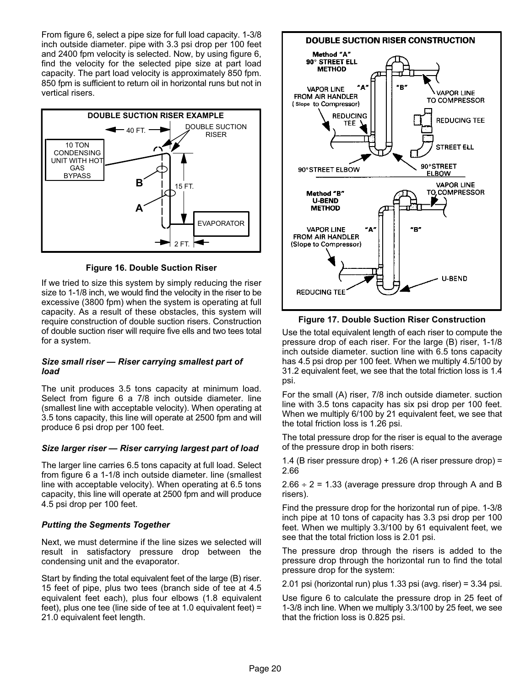<span id="page-19-0"></span>From figure [6](#page-12-0), select a pipe size for full load capacity. 1−3/8 inch outside diameter. pipe with 3.3 psi drop per 100 feet and 2400 fpm velocity is selected. Now, by using figure [6,](#page-12-0) find the velocity for the selected pipe size at part load capacity. The part load velocity is approximately 850 fpm. 850 fpm is sufficient to return oil in horizontal runs but not in vertical risers.



Figure 16. Double Suction Riser

If we tried to size this system by simply reducing the riser size to 1−1/8 inch, we would find the velocity in the riser to be excessive (3800 fpm) when the system is operating at full capacity. As a result of these obstacles, this system will require construction of double suction risers. Construction of double suction riser will require five ells and two tees total for a system.

#### Size small riser — Riser carrying smallest part of load

The unit produces 3.5 tons capacity at minimum load. Select from figure [6](#page-12-0) a 7/8 inch outside diameter. line (smallest line with acceptable velocity). When operating at 3.5 tons capacity, this line will operate at 2500 fpm and will produce 6 psi drop per 100 feet.

## Size larger riser — Riser carrying largest part of load

The larger line carries 6.5 tons capacity at full load. Select from figure [6](#page-12-0) a 1−1/8 inch outside diameter. line (smallest line with acceptable velocity). When operating at 6.5 tons capacity, this line will operate at 2500 fpm and will produce 4.5 psi drop per 100 feet.

## Putting the Segments Together

Next, we must determine if the line sizes we selected will result in satisfactory pressure drop between the condensing unit and the evaporator.

Start by finding the total equivalent feet of the large (B) riser. 15 feet of pipe, plus two tees (branch side of tee at 4.5 equivalent feet each), plus four elbows (1.8 equivalent feet), plus one tee (line side of tee at 1.0 equivalent feet) = 21.0 equivalent feet length.



Figure 17. Double Suction Riser Construction

Use the total equivalent length of each riser to compute the pressure drop of each riser. For the large (B) riser, 1−1/8 inch outside diameter. suction line with 6.5 tons capacity has 4.5 psi drop per 100 feet. When we multiply 4.5/100 by 31.2 equivalent feet, we see that the total friction loss is 1.4 psi.

For the small (A) riser, 7/8 inch outside diameter. suction line with 3.5 tons capacity has six psi drop per 100 feet. When we multiply 6/100 by 21 equivalent feet, we see that the total friction loss is 1.26 psi.

The total pressure drop for the riser is equal to the average of the pressure drop in both risers:

1.4 (B riser pressure drop) + 1.26 (A riser pressure drop) = 2.66

 $2.66 \div 2 = 1.33$  (average pressure drop through A and B risers).

Find the pressure drop for the horizontal run of pipe. 1−3/8 inch pipe at 10 tons of capacity has 3.3 psi drop per 100 feet. When we multiply 3.3/100 by 61 equivalent feet, we see that the total friction loss is 2.01 psi.

The pressure drop through the risers is added to the pressure drop through the horizontal run to find the total pressure drop for the system:

2.01 psi (horizontal run) plus 1.33 psi (avg. riser) = 3.34 psi.

Use figure [6](#page-12-0) to calculate the pressure drop in 25 feet of 1−3/8 inch line. When we multiply 3.3/100 by 25 feet, we see that the friction loss is 0.825 psi.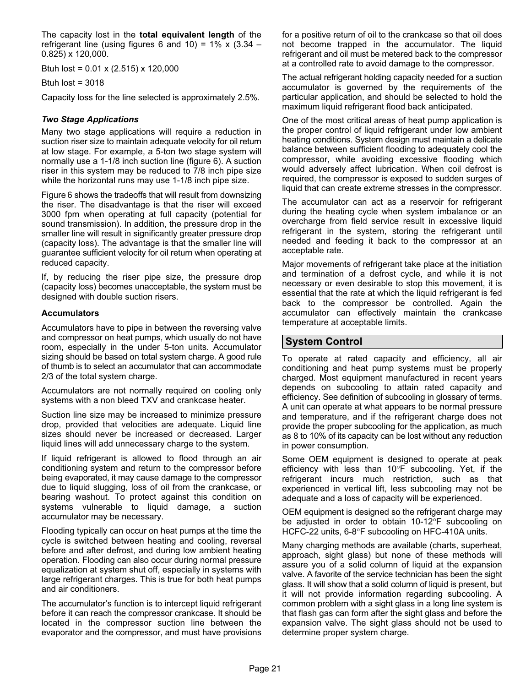<span id="page-20-0"></span>The capacity lost in the total equivalent length of the refrigerant line (using figures [6](#page-12-0) and [10](#page-15-0)) =  $1\%$  x (3.34 – 0.825) x 120,000.

Btuh lost =  $0.01 \times (2.515) \times 120,000$ 

Btuh lost  $= 3018$ 

Capacity loss for the line selected is approximately 2.5%.

#### Two Stage Applications

Many two stage applications will require a reduction in suction riser size to maintain adequate velocity for oil return at low stage. For example, a 5−ton two stage system will normally use a 1−1/8 inch suction line (figure [6\)](#page-12-0). A suction riser in this system may be reduced to 7/8 inch pipe size while the horizontal runs may use 1−1/8 inch pipe size.

Figure [6](#page-12-0) shows the tradeoffs that will result from downsizing the riser. The disadvantage is that the riser will exceed 3000 fpm when operating at full capacity (potential for sound transmission). In addition, the pressure drop in the smaller line will result in significantly greater pressure drop (capacity loss). The advantage is that the smaller line will guarantee sufficient velocity for oil return when operating at reduced capacity.

If, by reducing the riser pipe size, the pressure drop (capacity loss) becomes unacceptable, the system must be designed with double suction risers.

#### **Accumulators**

Accumulators have to pipe in between the reversing valve and compressor on heat pumps, which usually do not have room, especially in the under 5−ton units. Accumulator sizing should be based on total system charge. A good rule of thumb is to select an accumulator that can accommodate 2/3 of the total system charge.

Accumulators are not normally required on cooling only systems with a non bleed TXV and crankcase heater.

Suction line size may be increased to minimize pressure drop, provided that velocities are adequate. Liquid line sizes should never be increased or decreased. Larger liquid lines will add unnecessary charge to the system.

If liquid refrigerant is allowed to flood through an air conditioning system and return to the compressor before being evaporated, it may cause damage to the compressor due to liquid slugging, loss of oil from the crankcase, or bearing washout. To protect against this condition on systems vulnerable to liquid damage, a suction accumulator may be necessary.

Flooding typically can occur on heat pumps at the time the cycle is switched between heating and cooling, reversal before and after defrost, and during low ambient heating operation. Flooding can also occur during normal pressure equalization at system shut off, especially in systems with large refrigerant charges. This is true for both heat pumps and air conditioners.

The accumulator's function is to intercept liquid refrigerant before it can reach the compressor crankcase. It should be located in the compressor suction line between the evaporator and the compressor, and must have provisions for a positive return of oil to the crankcase so that oil does not become trapped in the accumulator. The liquid refrigerant and oil must be metered back to the compressor at a controlled rate to avoid damage to the compressor.

The actual refrigerant holding capacity needed for a suction accumulator is governed by the requirements of the particular application, and should be selected to hold the maximum liquid refrigerant flood back anticipated.

One of the most critical areas of heat pump application is the proper control of liquid refrigerant under low ambient heating conditions. System design must maintain a delicate balance between sufficient flooding to adequately cool the compressor, while avoiding excessive flooding which would adversely affect lubrication. When coil defrost is required, the compressor is exposed to sudden surges of liquid that can create extreme stresses in the compressor.

The accumulator can act as a reservoir for refrigerant during the heating cycle when system imbalance or an overcharge from field service result in excessive liquid refrigerant in the system, storing the refrigerant until needed and feeding it back to the compressor at an acceptable rate.

Major movements of refrigerant take place at the initiation and termination of a defrost cycle, and while it is not necessary or even desirable to stop this movement, it is essential that the rate at which the liquid refrigerant is fed back to the compressor be controlled. Again the accumulator can effectively maintain the crankcase temperature at acceptable limits.

## System Control

To operate at rated capacity and efficiency, all air conditioning and heat pump systems must be properly charged. Most equipment manufactured in recent years depends on subcooling to attain rated capacity and efficiency. See definition of subcooling in glossary of terms. A unit can operate at what appears to be normal pressure and temperature, and if the refrigerant charge does not provide the proper subcooling for the application, as much as 8 to 10% of its capacity can be lost without any reduction in power consumption.

Some OEM equipment is designed to operate at peak efficiency with less than  $10^{\circ}$ F subcooling. Yet, if the refrigerant incurs much restriction, such as that experienced in vertical lift, less subcooling may not be adequate and a loss of capacity will be experienced.

OEM equipment is designed so the refrigerant charge may be adjusted in order to obtain 10-12°F subcooling on HCFC-22 units, 6-8°F subcooling on HFC-410A units.

Many charging methods are available (charts, superheat, approach, sight glass) but none of these methods will assure you of a solid column of liquid at the expansion valve. A favorite of the service technician has been the sight glass. It will show that a solid column of liquid is present, but it will not provide information regarding subcooling. A common problem with a sight glass in a long line system is that flash gas can form after the sight glass and before the expansion valve. The sight glass should not be used to determine proper system charge.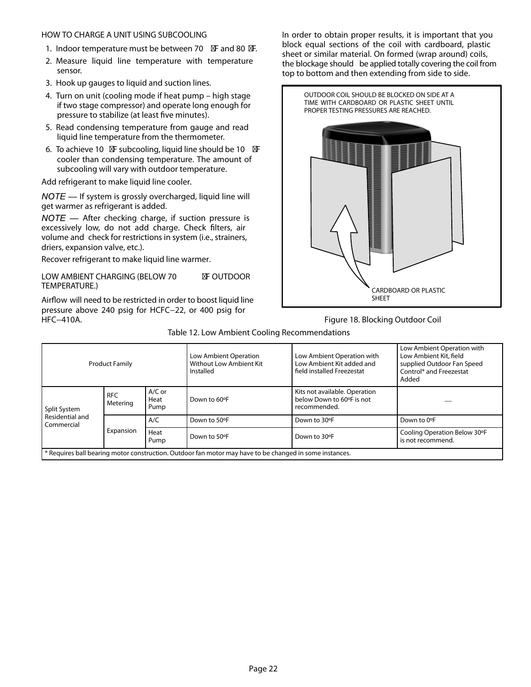#### <span id="page-21-0"></span>HOW TO CHARGE A UNIT USING SUBCOOLING

- 1. Indoor temperature must be between 70 F and 80 F.
- 2. Measure liquid line temperature with temperature sensor.
- 3. Hook up gauges to liquid and suction lines.
- 4. Turn on unit (cooling mode if heat pump high stage if two stage compressor) and operate long enough for pressure to stabilize (at least five minutes).
- 5. Read condensing temperature from gauge and read liquid line temperature from the thermometer.
- 6. To achieve 10 F subcooling, liquid line should be 10 F cooler than condensing temperature. The amount of subcooling will vary with outdoor temperature.

Add refrigerant to make liquid line cooler.

 $NOTE$  — If system is grossly overcharged, liquid line will get warmer as refrigerant is added.

 $NOTE$  — After checking charge, if suction pressure is excessively low, do not add charge. Check filters, air volume and check for restrictions in system (i.e., strainers, driers, expansion valve, etc.).

Recover refrigerant to make liquid line warmer.

LOW AMBIENT CHARGING (BELOW 70 F OUTDOOR TEMPERATURE.)

Airflow will need to be restricted in order to boost liquid line pressure above 240 psig for HCFC−22, or 400 psig for HFC−410A.

In order to obtain proper results, it is important that you block equal sections of the coil with cardboard, plastic sheet or similar material. On formed (wrap around) coils, the blockage should be applied totally covering the coil from top to bottom and then extending from side to side.



#### Figure 18. Blocking Outdoor Coil

|                               | <b>Product Family</b>  |                          | Low Ambient Operation<br>Without Low Ambient Kit<br>Installed                                           | Low Ambient Operation with<br>Low Ambient Kit added and<br>field installed Freezestat | Low Ambient Operation with<br>Low Ambient Kit, field<br>supplied Outdoor Fan Speed<br>Control* and Freezestat<br>Added |
|-------------------------------|------------------------|--------------------------|---------------------------------------------------------------------------------------------------------|---------------------------------------------------------------------------------------|------------------------------------------------------------------------------------------------------------------------|
| Split System                  | <b>RFC</b><br>Metering | $A/C$ or<br>Heat<br>Pump | Down to 60°F                                                                                            | Kits not available. Operation<br>below Down to 60°F is not<br>recommended.            |                                                                                                                        |
| Residential and<br>Commercial |                        | A/C                      | Down to 50°F                                                                                            | Down to 30°F                                                                          | Down to 0°F                                                                                                            |
|                               | Expansion              | Heat<br>Pump             | Down to 50°F<br>Down to 30°F                                                                            |                                                                                       | Cooling Operation Below 30°F<br>is not recommend.                                                                      |
|                               |                        |                          | * Requires ball bearing motor construction. Outdoor fan motor may have to be changed in some instances. |                                                                                       |                                                                                                                        |

#### Table 12. Low Ambient Cooling Recommendations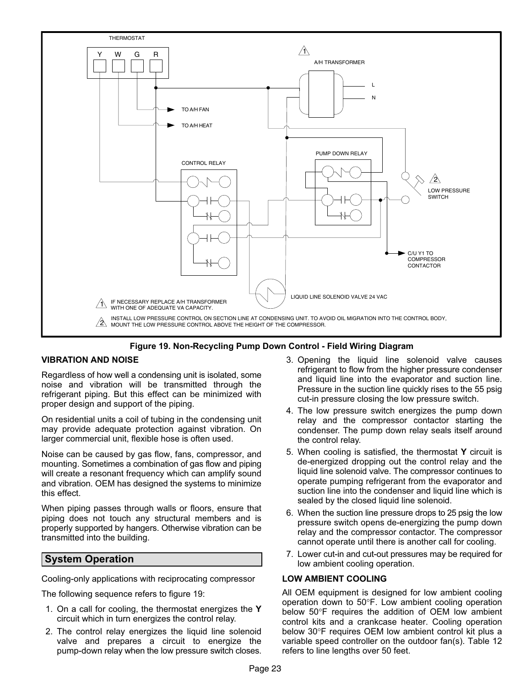<span id="page-22-0"></span>



## VIBRATION AND NOISE

Regardless of how well a condensing unit is isolated, some noise and vibration will be transmitted through the refrigerant piping. But this effect can be minimized with proper design and support of the piping.

On residential units a coil of tubing in the condensing unit may provide adequate protection against vibration. On larger commercial unit, flexible hose is often used.

Noise can be caused by gas flow, fans, compressor, and mounting. Sometimes a combination of gas flow and piping will create a resonant frequency which can amplify sound and vibration. OEM has designed the systems to minimize this effect.

When piping passes through walls or floors, ensure that piping does not touch any structural members and is properly supported by hangers. Otherwise vibration can be transmitted into the building.

## System Operation

Cooling−only applications with reciprocating compressor

The following sequence refers to figure 19:

- 1. On a call for cooling, the thermostat energizes the Y circuit which in turn energizes the control relay.
- 2. The control relay energizes the liquid line solenoid valve and prepares a circuit to energize the pump−down relay when the low pressure switch closes.
- 3. Opening the liquid line solenoid valve causes refrigerant to flow from the higher pressure condenser and liquid line into the evaporator and suction line. Pressure in the suction line quickly rises to the 55 psig cut−in pressure closing the low pressure switch.
- 4. The low pressure switch energizes the pump down relay and the compressor contactor starting the condenser. The pump down relay seals itself around the control relay.
- 5. When cooling is satisfied, the thermostat  $Y$  circuit is de−energized dropping out the control relay and the liquid line solenoid valve. The compressor continues to operate pumping refrigerant from the evaporator and suction line into the condenser and liquid line which is sealed by the closed liquid line solenoid.
- 6. When the suction line pressure drops to 25 psig the low pressure switch opens de−energizing the pump down relay and the compressor contactor. The compressor cannot operate until there is another call for cooling.
- 7. Lower cut−in and cut−out pressures may be required for low ambient cooling operation.

#### LOW AMBIENT COOLING

All OEM equipment is designed for low ambient cooling operation down to 50F. Low ambient cooling operation below  $50^{\circ}$ F requires the addition of OEM low ambient control kits and a crankcase heater. Cooling operation below 30°F requires OEM low ambient control kit plus a variable speed controller on the outdoor fan(s). Table [12](#page-21-0) refers to line lengths over 50 feet.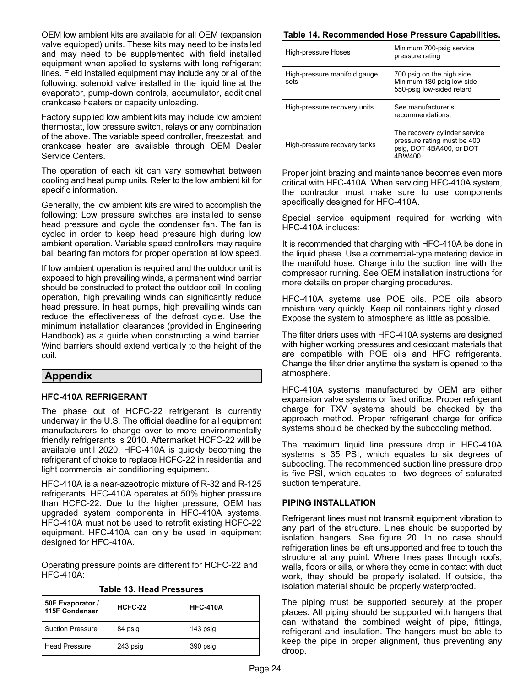<span id="page-23-0"></span>OEM low ambient kits are available for all OEM (expansion valve equipped) units. These kits may need to be installed and may need to be supplemented with field installed equipment when applied to systems with long refrigerant lines. Field installed equipment may include any or all of the following: solenoid valve installed in the liquid line at the evaporator, pump−down controls, accumulator, additional crankcase heaters or capacity unloading.

Factory supplied low ambient kits may include low ambient thermostat, low pressure switch, relays or any combination of the above. The variable speed controller, freezestat, and crankcase heater are available through OEM Dealer Service Centers.

The operation of each kit can vary somewhat between cooling and heat pump units. Refer to the low ambient kit for specific information.

Generally, the low ambient kits are wired to accomplish the following: Low pressure switches are installed to sense head pressure and cycle the condenser fan. The fan is cycled in order to keep head pressure high during low ambient operation. Variable speed controllers may require ball bearing fan motors for proper operation at low speed.

If low ambient operation is required and the outdoor unit is exposed to high prevailing winds, a permanent wind barrier should be constructed to protect the outdoor coil. In cooling operation, high prevailing winds can significantly reduce head pressure. In heat pumps, high prevailing winds can reduce the effectiveness of the defrost cycle. Use the minimum installation clearances (provided in Engineering Handbook) as a guide when constructing a wind barrier. Wind barriers should extend vertically to the height of the coil.

## Appendix

## HFC−410A REFRIGERANT

The phase out of HCFC−22 refrigerant is currently underway in the U.S. The official deadline for all equipment manufacturers to change over to more environmentally friendly refrigerants is 2010. Aftermarket HCFC−22 will be available until 2020. HFC−410A is quickly becoming the refrigerant of choice to replace HCFC−22 in residential and light commercial air conditioning equipment.

HFC−410A is a near−azeotropic mixture of R−32 and R−125 refrigerants. HFC−410A operates at 50% higher pressure than HCFC−22. Due to the higher pressure, OEM has upgraded system components in HFC−410A systems. HFC−410A must not be used to retrofit existing HCFC−22 equipment. HFC−410A can only be used in equipment designed for HFC−410A.

Operating pressure points are different for HCFC−22 and HFC−410A:

| 50F Evaporator /<br>115F Condenser | HCFC-22  | <b>HFC-410A</b> |  |
|------------------------------------|----------|-----------------|--|
| <b>Suction Pressure</b>            | 84 psig  | 143 psig        |  |
| <b>Head Pressure</b>               | 243 psig | 390 psig        |  |

Table 13. Head Pressures

#### Table 14. Recommended Hose Pressure Capabilities.

| High-pressure Hoses                  | Minimum 700-psig service<br>pressure rating                                                        |  |  |
|--------------------------------------|----------------------------------------------------------------------------------------------------|--|--|
| High-pressure manifold gauge<br>sets | 700 psig on the high side<br>Minimum 180 psig low side<br>550-psig low-sided retard                |  |  |
| High-pressure recovery units         | See manufacturer's<br>recommendations.                                                             |  |  |
| High-pressure recovery tanks         | The recovery cylinder service<br>pressure rating must be 400<br>psig, DOT 4BA400, or DOT<br>4BW400 |  |  |

Proper joint brazing and maintenance becomes even more critical with HFC−410A. When servicing HFC−410A system, the contractor must make sure to use components specifically designed for HFC−410A.

Special service equipment required for working with HFC−410A includes:

It is recommended that charging with HFC−410A be done in the liquid phase. Use a commercial−type metering device in the manifold hose. Charge into the suction line with the compressor running. See OEM installation instructions for more details on proper charging procedures.

HFC−410A systems use POE oils. POE oils absorb moisture very quickly. Keep oil containers tightly closed. Expose the system to atmosphere as little as possible.

The filter driers uses with HFC−410A systems are designed with higher working pressures and desiccant materials that are compatible with POE oils and HFC refrigerants. Change the filter drier anytime the system is opened to the atmosphere.

HFC−410A systems manufactured by OEM are either expansion valve systems or fixed orifice. Proper refrigerant charge for TXV systems should be checked by the approach method. Proper refrigerant charge for orifice systems should be checked by the subcooling method.

The maximum liquid line pressure drop in HFC−410A systems is 35 PSI, which equates to six degrees of subcooling. The recommended suction line pressure drop is five PSI, which equates to two degrees of saturated suction temperature.

#### PIPING INSTALLATION

Refrigerant lines must not transmit equipment vibration to any part of the structure. Lines should be supported by isolation hangers. See figure [20.](#page-24-0) In no case should refrigeration lines be left unsupported and free to touch the structure at any point. Where lines pass through roofs, walls, floors or sills, or where they come in contact with duct work, they should be properly isolated. If outside, the isolation material should be properly waterproofed.

The piping must be supported securely at the proper places. All piping should be supported with hangers that can withstand the combined weight of pipe, fittings, refrigerant and insulation. The hangers must be able to keep the pipe in proper alignment, thus preventing any droop.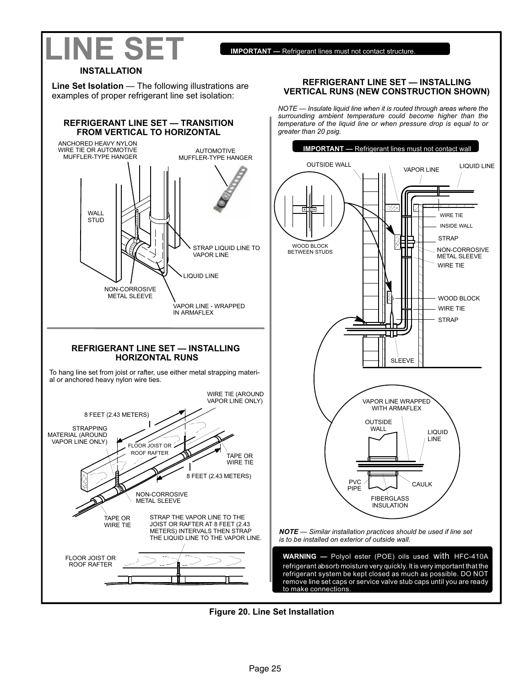<span id="page-24-0"></span>

## INSTALLATION

Line Set Isolation — The following illustrations are examples of proper refrigerant line set isolation:



#### REFRIGERANT LINE SET — INSTALLING VERTICAL RUNS (NEW CONSTRUCTION SHOWN)

NOTE — Insulate liquid line when it is routed through areas where the surrounding ambient temperature could become higher than the temperature of the liquid line or when pressure drop is equal to or greater than 20 psig.



remove line set caps or service valve stub caps until you are ready



to make connections.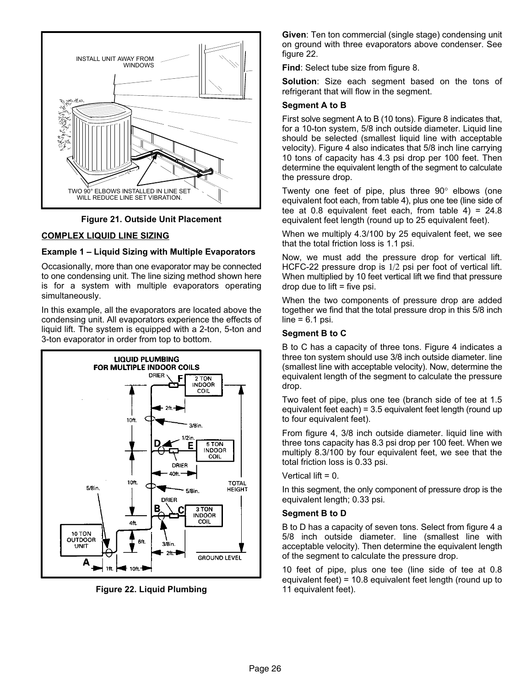



#### COMPLEX LIQUID LINE SIZING

#### Example 1 – Liquid Sizing with Multiple Evaporators

Occasionally, more than one evaporator may be connected to one condensing unit. The line sizing method shown here is for a system with multiple evaporators operating simultaneously.

In this example, all the evaporators are located above the condensing unit. All evaporators experience the effects of liquid lift. The system is equipped with a 2−ton, 5−ton and 3−ton evaporator in order from top to bottom.



Figure 22. Liquid Plumbing

Given: Ten ton commercial (single stage) condensing unit on ground with three evaporators above condenser. See figure 22.

Find: Select tube size from figure [8.](#page-6-0)

Solution: Size each segment based on the tons of refrigerant that will flow in the segment.

#### Segment A to B

First solve segment A to B (10 tons). Figure [8](#page-6-0) indicates that, for a 10−ton system, 5/8 inch outside diameter. Liquid line should be selected (smallest liquid line with acceptable velocity). Figure [4](#page-10-0) also indicates that 5/8 inch line carrying 10 tons of capacity has 4.3 psi drop per 100 feet. Then determine the equivalent length of the segment to calculate the pressure drop.

Twenty one feet of pipe, plus three  $90^\circ$  elbows (one equivalent foot each, from table 4), plus one tee (line side of tee at 0.8 equivalent feet each, from table  $4$ ) = 24.8 equivalent feet length (round up to 25 equivalent feet).

When we multiply 4.3/100 by 25 equivalent feet, we see that the total friction loss is 1.1 psi.

Now, we must add the pressure drop for vertical lift. HCFC−22 pressure drop is 1/2 psi per foot of vertical lift. When multiplied by 10 feet vertical lift we find that pressure  $drop$  due to lift = five psi.

When the two components of pressure drop are added together we find that the total pressure drop in this 5/8 inch  $line = 6.1$  psi.

#### Segment B to C

B to C has a capacity of three tons. Figure [4](#page-10-0) indicates a three ton system should use 3/8 inch outside diameter. line (smallest line with acceptable velocity). Now, determine the equivalent length of the segment to calculate the pressure drop.

Two feet of pipe, plus one tee (branch side of tee at 1.5 equivalent feet each) = 3.5 equivalent feet length (round up to four equivalent feet).

From figure [4](#page-10-0), 3/8 inch outside diameter. liquid line with three tons capacity has 8.3 psi drop per 100 feet. When we multiply 8.3/100 by four equivalent feet, we see that the total friction loss is 0.33 psi.

Vertical lift  $= 0$ .

In this segment, the only component of pressure drop is the equivalent length; 0.33 psi.

#### Segment B to D

B to D has a capacity of seven tons. Select from figure [4](#page-10-0) a 5/8 inch outside diameter. line (smallest line with acceptable velocity). Then determine the equivalent length of the segment to calculate the pressure drop.

10 feet of pipe, plus one tee (line side of tee at 0.8 equivalent feet) = 10.8 equivalent feet length (round up to 11 equivalent feet).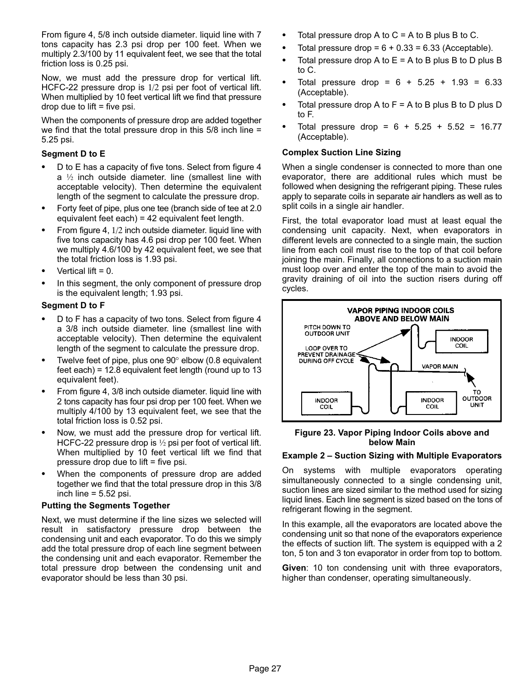From figure [4,](#page-10-0) 5/8 inch outside diameter. liquid line with 7 tons capacity has 2.3 psi drop per 100 feet. When we multiply 2.3/100 by 11 equivalent feet, we see that the total friction loss is 0.25 psi.

Now, we must add the pressure drop for vertical lift. HCFC-22 pressure drop is 1/2 psi per foot of vertical lift. When multiplied by 10 feet vertical lift we find that pressure  $drop$  due to lift = five psi.

When the components of pressure drop are added together we find that the total pressure drop in this 5/8 inch line = 5.25 psi.

## Segment D to E

- - D to E has a capacity of five tons. Select from figure [4](#page-10-0)  $a<sup>j</sup>2$  inch outside diameter. line (smallest line with acceptable velocity). Then determine the equivalent length of the segment to calculate the pressure drop.
- $\bullet$  Forty feet of pipe, plus one tee (branch side of tee at 2.0 equivalent feet each) = 42 equivalent feet length.
- - From figure [4,](#page-10-0) 1/2 inch outside diameter. liquid line with five tons capacity has 4.6 psi drop per 100 feet. When we multiply 4.6/100 by 42 equivalent feet, we see that the total friction loss is 1.93 psi.
- -Vertical lift  $= 0$ .
- - In this segment, the only component of pressure drop is the equivalent length; 1.93 psi.

#### Segment D to F

- $\bullet$  D to F has a capacity of two tons. Select from figure [4](#page-10-0) a 3/8 inch outside diameter. line (smallest line with acceptable velocity). Then determine the equivalent length of the segment to calculate the pressure drop.
- -Twelve feet of pipe, plus one  $90^\circ$  elbow (0.8 equivalent feet each) = 12.8 equivalent feet length (round up to 13 equivalent feet).
- - From figure [4,](#page-10-0) 3/8 inch outside diameter. liquid line with 2 tons capacity has four psi drop per 100 feet. When we multiply 4/100 by 13 equivalent feet, we see that the total friction loss is 0.52 psi.
- - Now, we must add the pressure drop for vertical lift. HCFC-22 pressure drop is ½ psi per foot of vertical lift. When multiplied by 10 feet vertical lift we find that pressure drop due to  $\mathsf{lift} = \mathsf{five}$  psi.
- - When the components of pressure drop are added together we find that the total pressure drop in this 3/8 inch line  $= 5.52$  psi.

#### Putting the Segments Together

Next, we must determine if the line sizes we selected will result in satisfactory pressure drop between the condensing unit and each evaporator. To do this we simply add the total pressure drop of each line segment between the condensing unit and each evaporator. Remember the total pressure drop between the condensing unit and evaporator should be less than 30 psi.

- -Total pressure drop A to  $C = A$  to B plus B to C.
- -Total pressure drop =  $6 + 0.33 = 6.33$  (Acceptable).
- $\bullet$ Total pressure drop A to  $E = A$  to B plus B to D plus B to C.
- -Total pressure drop =  $6 + 5.25 + 1.93 = 6.33$ (Acceptable).
- -Total pressure drop A to  $F = A$  to B plus B to D plus D to F.
- -Total pressure drop =  $6 + 5.25 + 5.52 = 16.77$ (Acceptable).

## Complex Suction Line Sizing

When a single condenser is connected to more than one evaporator, there are additional rules which must be followed when designing the refrigerant piping. These rules apply to separate coils in separate air handlers as well as to split coils in a single air handler.

First, the total evaporator load must at least equal the condensing unit capacity. Next, when evaporators in different levels are connected to a single main, the suction line from each coil must rise to the top of that coil before joining the main. Finally, all connections to a suction main must loop over and enter the top of the main to avoid the gravity draining of oil into the suction risers during off cycles.



#### Figure 23. Vapor Piping Indoor Coils above and below Main

## Example 2 – Suction Sizing with Multiple Evaporators

On systems with multiple evaporators operating simultaneously connected to a single condensing unit, suction lines are sized similar to the method used for sizing liquid lines. Each line segment is sized based on the tons of refrigerant flowing in the segment.

In this example, all the evaporators are located above the condensing unit so that none of the evaporators experience the effects of suction lift. The system is equipped with a 2 ton, 5 ton and 3 ton evaporator in order from top to bottom.

Given: 10 ton condensing unit with three evaporators, higher than condenser, operating simultaneously.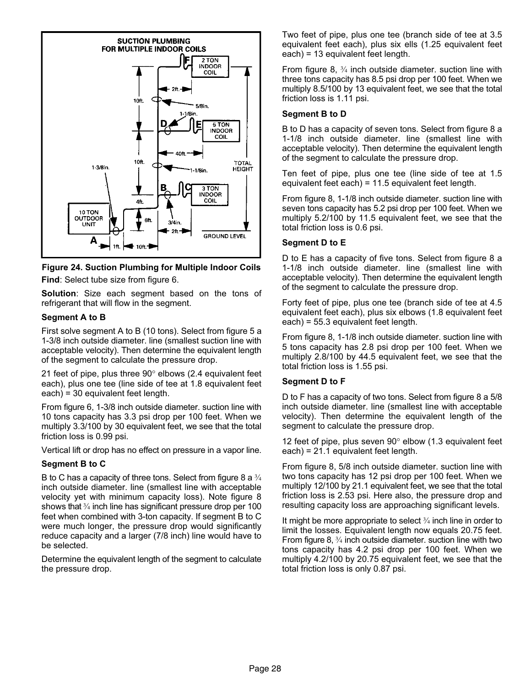

## Figure 24. Suction Plumbing for Multiple Indoor Coils Find: Select tube size from figure [6.](#page-12-0)

Solution: Size each segment based on the tons of refrigerant that will flow in the segment.

## Segment A to B

First solve segment A to B (10 tons). Select from figure [5](#page-11-0) a 1−3/8 inch outside diameter. line (smallest suction line with acceptable velocity). Then determine the equivalent length of the segment to calculate the pressure drop.

21 feet of pipe, plus three  $90^\circ$  elbows (2.4 equivalent feet each), plus one tee (line side of tee at 1.8 equivalent feet each) = 30 equivalent feet length.

From figure [6,](#page-12-0) 1−3/8 inch outside diameter. suction line with 10 tons capacity has 3.3 psi drop per 100 feet. When we multiply 3.3/100 by 30 equivalent feet, we see that the total friction loss is 0.99 psi.

Vertical lift or drop has no effect on pressure in a vapor line.

## Segment B to C

B to C has a capacity of three tons. Select from figure 8 a  $\frac{3}{4}$ inch outside diameter. line (smallest line with acceptable velocity yet with minimum capacity loss). Note figure 8 shows that 3/4 inch line has significant pressure drop per 100 feet when combined with 3−ton capacity. If segment B to C were much longer, the pressure drop would significantly reduce capacity and a larger (7/8 inch) line would have to be selected.

Determine the equivalent length of the segment to calculate the pressure drop.

Two feet of pipe, plus one tee (branch side of tee at 3.5 equivalent feet each), plus six ells (1.25 equivalent feet each) = 13 equivalent feet length.

From figure 8, ¾ inch outside diameter. suction line with three tons capacity has 8.5 psi drop per 100 feet. When we multiply 8.5/100 by 13 equivalent feet, we see that the total friction loss is 1.11 psi.

#### Segment B to D

B to D has a capacity of seven tons. Select from figure 8 a 1−1/8 inch outside diameter. line (smallest line with acceptable velocity). Then determine the equivalent length of the segment to calculate the pressure drop.

Ten feet of pipe, plus one tee (line side of tee at 1.5 equivalent feet each) = 11.5 equivalent feet length.

From figure 8, 1−1/8 inch outside diameter. suction line with seven tons capacity has 5.2 psi drop per 100 feet. When we multiply 5.2/100 by 11.5 equivalent feet, we see that the total friction loss is 0.6 psi.

#### Segment D to E

D to E has a capacity of five tons. Select from figure 8 a 1−1/8 inch outside diameter. line (smallest line with acceptable velocity). Then determine the equivalent length of the segment to calculate the pressure drop.

Forty feet of pipe, plus one tee (branch side of tee at 4.5 equivalent feet each), plus six elbows (1.8 equivalent feet each) = 55.3 equivalent feet length.

From figure 8, 1−1/8 inch outside diameter. suction line with 5 tons capacity has 2.8 psi drop per 100 feet. When we multiply 2.8/100 by 44.5 equivalent feet, we see that the total friction loss is 1.55 psi.

#### Segment D to F

D to F has a capacity of two tons. Select from figure 8 a 5/8 inch outside diameter. line (smallest line with acceptable velocity). Then determine the equivalent length of the segment to calculate the pressure drop.

12 feet of pipe, plus seven  $90^{\circ}$  elbow (1.3 equivalent feet each) = 21.1 equivalent feet length.

From figure 8, 5/8 inch outside diameter. suction line with two tons capacity has 12 psi drop per 100 feet. When we multiply 12/100 by 21.1 equivalent feet, we see that the total friction loss is 2.53 psi. Here also, the pressure drop and resulting capacity loss are approaching significant levels.

It might be more appropriate to select  $\frac{3}{4}$  inch line in order to limit the losses. Equivalent length now equals 20.75 feet. From figure 8, ¾ inch outside diameter. suction line with two tons capacity has 4.2 psi drop per 100 feet. When we multiply 4.2/100 by 20.75 equivalent feet, we see that the total friction loss is only 0.87 psi.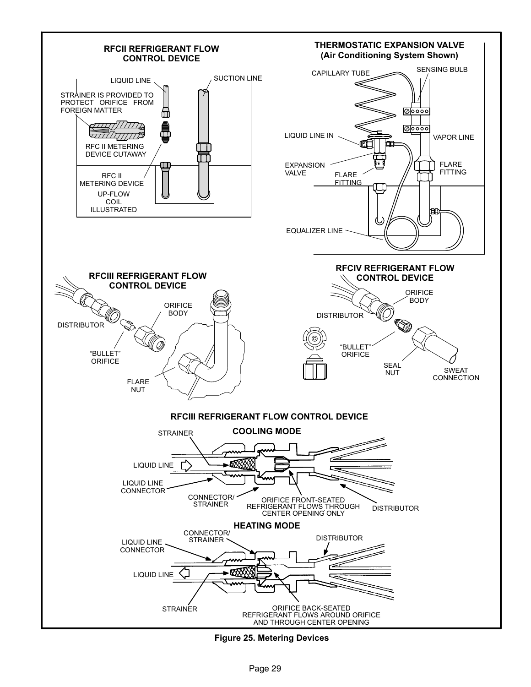

Figure 25. Metering Devices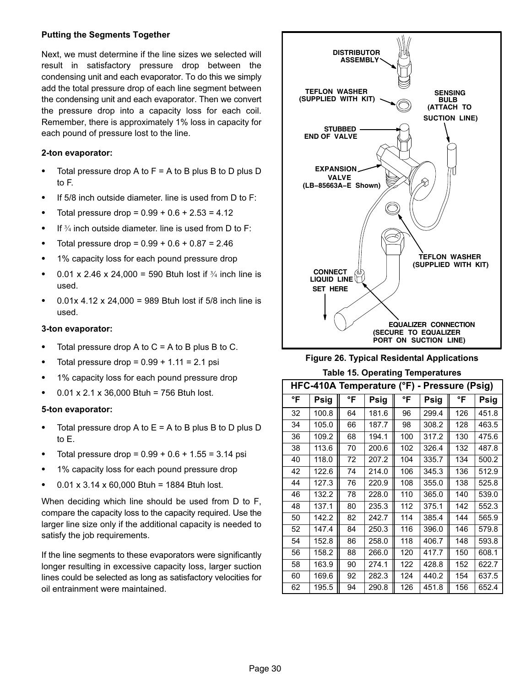#### <span id="page-29-0"></span>Putting the Segments Together

Next, we must determine if the line sizes we selected will result in satisfactory pressure drop between the condensing unit and each evaporator. To do this we simply add the total pressure drop of each line segment between the condensing unit and each evaporator. Then we convert the pressure drop into a capacity loss for each coil. Remember, there is approximately 1% loss in capacity for each pound of pressure lost to the line.

#### 2−ton evaporator:

- -Total pressure drop A to  $F = A$  to B plus B to D plus D to F.
- $\bullet$ If 5/8 inch outside diameter. line is used from D to F:
- -Total pressure drop =  $0.99 + 0.6 + 2.53 = 4.12$
- $\bullet$ If  $\frac{3}{4}$  inch outside diameter. line is used from D to F:
- -Total pressure drop =  $0.99 + 0.6 + 0.87 = 2.46$
- -1% capacity loss for each pound pressure drop
- $\bullet$ 0.01 x 2.46 x 24,000 = 590 Btuh lost if  $\frac{3}{4}$  inch line is used.
- -0.01x 4.12 x 24,000 = 989 Btuh lost if  $5/8$  inch line is used.

#### 3−ton evaporator:

- -Total pressure drop A to  $C = A$  to B plus B to C.
- -Total pressure drop =  $0.99 + 1.11 = 2.1$  psi
- -1% capacity loss for each pound pressure drop
- -0.01 x 2.1 x 36,000 Btuh = 756 Btuh lost.

## 5−ton evaporator:

- -Total pressure drop A to  $E = A$  to B plus B to D plus D to E.
- -Total pressure drop =  $0.99 + 0.6 + 1.55 = 3.14$  psi
- -1% capacity loss for each pound pressure drop
- -0.01 x 3.14 x 60,000 Btuh = 1884 Btuh lost.

When deciding which line should be used from D to F, compare the capacity loss to the capacity required. Use the larger line size only if the additional capacity is needed to satisfy the job requirements.

If the line segments to these evaporators were significantly longer resulting in excessive capacity loss, larger suction lines could be selected as long as satisfactory velocities for oil entrainment were maintained.





| HFC-410A Temperature (°F)<br>- Pressure (Psig) |       |    |       |     |       |     |       |  |
|------------------------------------------------|-------|----|-------|-----|-------|-----|-------|--|
| °F                                             | Psig  | °F | Psig  | °F  | Psig  | °F  | Psig  |  |
| 32                                             | 100.8 | 64 | 181.6 | 96  | 299.4 | 126 | 451.8 |  |
| 34                                             | 105.0 | 66 | 187.7 | 98  | 308.2 | 128 | 463.5 |  |
| 36                                             | 109.2 | 68 | 194.1 | 100 | 317.2 | 130 | 475.6 |  |
| 38                                             | 113.6 | 70 | 200.6 | 102 | 326.4 | 132 | 487.8 |  |
| 40                                             | 118.0 | 72 | 207.2 | 104 | 335.7 | 134 | 500.2 |  |
| 42                                             | 122.6 | 74 | 214.0 | 106 | 345.3 | 136 | 512.9 |  |
| 44                                             | 127.3 | 76 | 220.9 | 108 | 355.0 | 138 | 525.8 |  |
| 46                                             | 132.2 | 78 | 228.0 | 110 | 365.0 | 140 | 539.0 |  |
| 48                                             | 137.1 | 80 | 235.3 | 112 | 375.1 | 142 | 552.3 |  |
| 50                                             | 142.2 | 82 | 242.7 | 114 | 385.4 | 144 | 565.9 |  |
| 52                                             | 147.4 | 84 | 250.3 | 116 | 396.0 | 146 | 579.8 |  |
| 54                                             | 152.8 | 86 | 258.0 | 118 | 406.7 | 148 | 593.8 |  |
| 56                                             | 158.2 | 88 | 266.0 | 120 | 417.7 | 150 | 608.1 |  |
| 58                                             | 163.9 | 90 | 274.1 | 122 | 428.8 | 152 | 622.7 |  |
| 60                                             | 169.6 | 92 | 282.3 | 124 | 440.2 | 154 | 637.5 |  |
| 62                                             | 195.5 | 94 | 290.8 | 126 | 451.8 | 156 | 652.4 |  |

#### Table 15. Operating Temperatures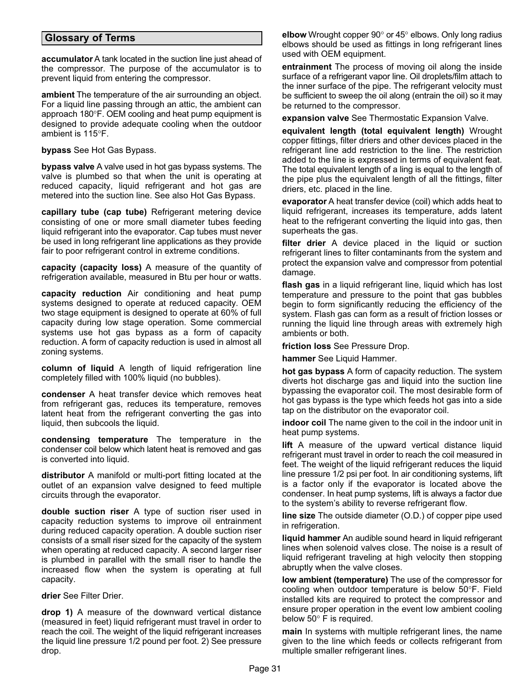## <span id="page-30-0"></span>Glossary of Terms

accumulator A tank located in the suction line just ahead of the compressor. The purpose of the accumulator is to prevent liquid from entering the compressor.

ambient The temperature of the air surrounding an object. For a liquid line passing through an attic, the ambient can approach 180°F. OEM cooling and heat pump equipment is designed to provide adequate cooling when the outdoor ambient is 115°F.

bypass See Hot Gas Bypass.

bypass valve A valve used in hot gas bypass systems. The valve is plumbed so that when the unit is operating at reduced capacity, liquid refrigerant and hot gas are metered into the suction line. See also Hot Gas Bypass.

capillary tube (cap tube) Refrigerant metering device consisting of one or more small diameter tubes feeding liquid refrigerant into the evaporator. Cap tubes must never be used in long refrigerant line applications as they provide fair to poor refrigerant control in extreme conditions.

capacity (capacity loss) A measure of the quantity of refrigeration available, measured in Btu per hour or watts.

capacity reduction Air conditioning and heat pump systems designed to operate at reduced capacity. OEM two stage equipment is designed to operate at 60% of full capacity during low stage operation. Some commercial systems use hot gas bypass as a form of capacity reduction. A form of capacity reduction is used in almost all zoning systems.

column of liquid A length of liquid refrigeration line completely filled with 100% liquid (no bubbles).

condenser A heat transfer device which removes heat from refrigerant gas, reduces its temperature, removes latent heat from the refrigerant converting the gas into liquid, then subcools the liquid.

condensing temperature The temperature in the condenser coil below which latent heat is removed and gas is converted into liquid.

distributor A manifold or multi−port fitting located at the outlet of an expansion valve designed to feed multiple circuits through the evaporator.

double suction riser A type of suction riser used in capacity reduction systems to improve oil entrainment during reduced capacity operation. A double suction riser consists of a small riser sized for the capacity of the system when operating at reduced capacity. A second larger riser is plumbed in parallel with the small riser to handle the increased flow when the system is operating at full capacity.

drier See Filter Drier.

drop 1) A measure of the downward vertical distance (measured in feet) liquid refrigerant must travel in order to reach the coil. The weight of the liquid refrigerant increases the liquid line pressure 1/2 pound per foot. 2) See pressure drop.

elbow Wrought copper  $90^{\circ}$  or  $45^{\circ}$  elbows. Only long radius elbows should be used as fittings in long refrigerant lines used with OEM equipment.

entrainment The process of moving oil along the inside surface of a refrigerant vapor line. Oil droplets/film attach to the inner surface of the pipe. The refrigerant velocity must be sufficient to sweep the oil along (entrain the oil) so it may be returned to the compressor.

expansion valve See Thermostatic Expansion Valve.

equivalent length (total equivalent length) Wrought copper fittings, filter driers and other devices placed in the refrigerant line add restriction to the line. The restriction added to the line is expressed in terms of equivalent feat. The total equivalent length of a ling is equal to the length of the pipe plus the equivalent length of all the fittings, filter driers, etc. placed in the line.

evaporator A heat transfer device (coil) which adds heat to liquid refrigerant, increases its temperature, adds latent heat to the refrigerant converting the liquid into gas, then superheats the gas.

filter drier A device placed in the liquid or suction refrigerant lines to filter contaminants from the system and protect the expansion valve and compressor from potential damage.

flash gas in a liquid refrigerant line, liquid which has lost temperature and pressure to the point that gas bubbles begin to form significantly reducing the efficiency of the system. Flash gas can form as a result of friction losses or running the liquid line through areas with extremely high ambients or both.

friction loss See Pressure Drop.

hammer See Liquid Hammer.

hot gas bypass A form of capacity reduction. The system diverts hot discharge gas and liquid into the suction line bypassing the evaporator coil. The most desirable form of hot gas bypass is the type which feeds hot gas into a side tap on the distributor on the evaporator coil.

indoor coil The name given to the coil in the indoor unit in heat pump systems.

lift A measure of the upward vertical distance liquid refrigerant must travel in order to reach the coil measured in feet. The weight of the liquid refrigerant reduces the liquid line pressure 1/2 psi per foot. In air conditioning systems, lift is a factor only if the evaporator is located above the condenser. In heat pump systems, lift is always a factor due to the system's ability to reverse refrigerant flow.

line size The outside diameter (O.D.) of copper pipe used in refrigeration.

liquid hammer An audible sound heard in liquid refrigerant lines when solenoid valves close. The noise is a result of liquid refrigerant traveling at high velocity then stopping abruptly when the valve closes.

low ambient (temperature) The use of the compressor for cooling when outdoor temperature is below 50°F. Field installed kits are required to protect the compressor and ensure proper operation in the event low ambient cooling below  $50^\circ$  F is required.

main In systems with multiple refrigerant lines, the name given to the line which feeds or collects refrigerant from multiple smaller refrigerant lines.